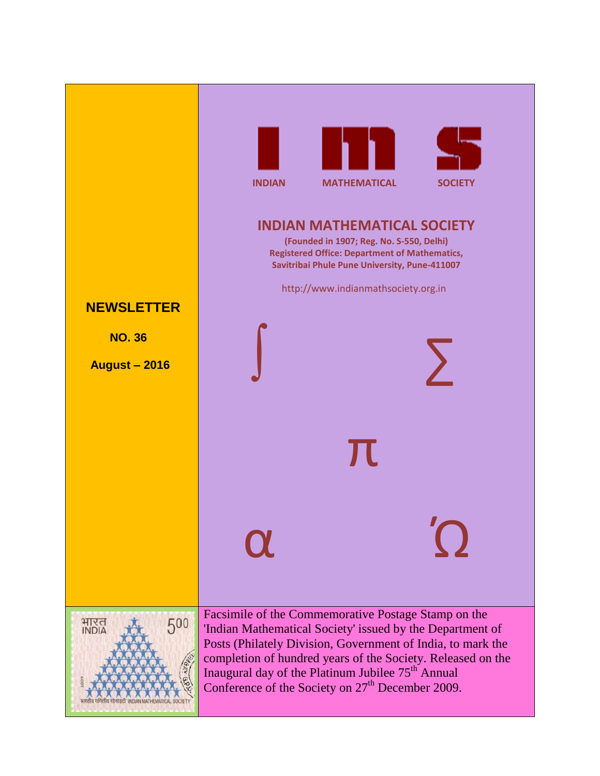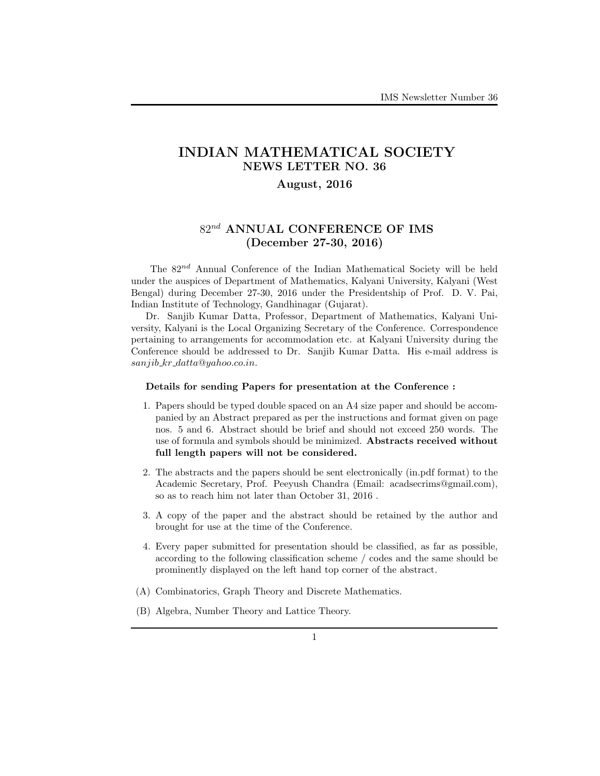# **INDIAN MATHEMATICAL SOCIETY NEWS LETTER NO. 36**

## **August, 2016**

# 82*nd* **ANNUAL CONFERENCE OF IMS (December 27-30, 2016)**

The 82*nd* Annual Conference of the Indian Mathematical Society will be held under the auspices of Department of Mathematics, Kalyani University, Kalyani (West Bengal) during December 27-30, 2016 under the Presidentship of Prof. D. V. Pai, Indian Institute of Technology, Gandhinagar (Gujarat).

Dr. Sanjib Kumar Datta, Professor, Department of Mathematics, Kalyani University, Kalyani is the Local Organizing Secretary of the Conference. Correspondence pertaining to arrangements for accommodation etc. at Kalyani University during the Conference should be addressed to Dr. Sanjib Kumar Datta. His e-mail address is *sanjib kr datta*@*yahoo.co.in*.

### **Details for sending Papers for presentation at the Conference :**

- 1. Papers should be typed double spaced on an A4 size paper and should be accompanied by an Abstract prepared as per the instructions and format given on page nos. 5 and 6. Abstract should be brief and should not exceed 250 words. The use of formula and symbols should be minimized. **Abstracts received without full length papers will not be considered.**
- 2. The abstracts and the papers should be sent electronically (in.pdf format) to the Academic Secretary, Prof. Peeyush Chandra (Email: acadsecrims@gmail.com), so as to reach him not later than October 31, 2016 .
- 3. A copy of the paper and the abstract should be retained by the author and brought for use at the time of the Conference.
- 4. Every paper submitted for presentation should be classified, as far as possible, according to the following classification scheme / codes and the same should be prominently displayed on the left hand top corner of the abstract.
- (A) Combinatorics, Graph Theory and Discrete Mathematics.
- (B) Algebra, Number Theory and Lattice Theory.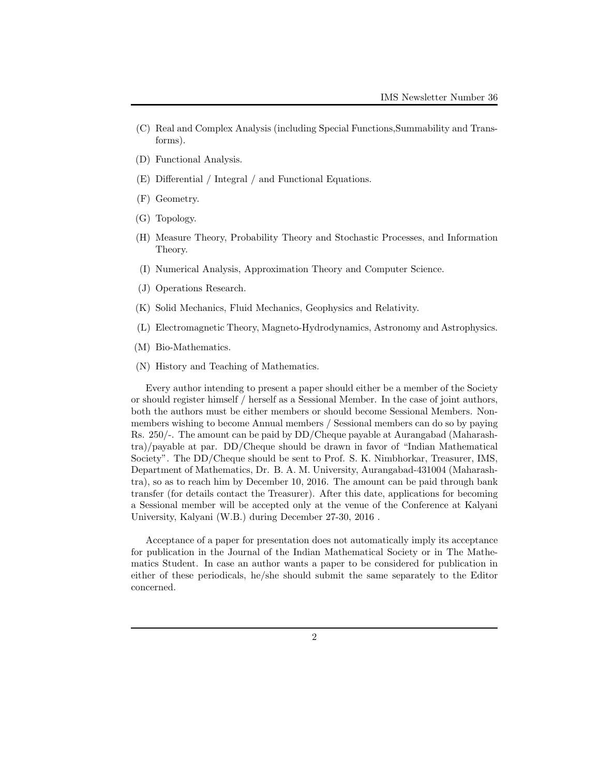- (C) Real and Complex Analysis (including Special Functions,Summability and Transforms).
- (D) Functional Analysis.
- (E) Differential / Integral / and Functional Equations.
- (F) Geometry.
- (G) Topology.
- (H) Measure Theory, Probability Theory and Stochastic Processes, and Information Theory.
- (I) Numerical Analysis, Approximation Theory and Computer Science.
- (J) Operations Research.
- (K) Solid Mechanics, Fluid Mechanics, Geophysics and Relativity.
- (L) Electromagnetic Theory, Magneto-Hydrodynamics, Astronomy and Astrophysics.
- (M) Bio-Mathematics.
- (N) History and Teaching of Mathematics.

Every author intending to present a paper should either be a member of the Society or should register himself / herself as a Sessional Member. In the case of joint authors, both the authors must be either members or should become Sessional Members. Nonmembers wishing to become Annual members / Sessional members can do so by paying Rs. 250/-. The amount can be paid by DD/Cheque payable at Aurangabad (Maharashtra)/payable at par. DD/Cheque should be drawn in favor of "Indian Mathematical Society". The DD/Cheque should be sent to Prof. S. K. Nimbhorkar, Treasurer, IMS, Department of Mathematics, Dr. B. A. M. University, Aurangabad-431004 (Maharashtra), so as to reach him by December 10, 2016. The amount can be paid through bank transfer (for details contact the Treasurer). After this date, applications for becoming a Sessional member will be accepted only at the venue of the Conference at Kalyani University, Kalyani (W.B.) during December 27-30, 2016 .

Acceptance of a paper for presentation does not automatically imply its acceptance for publication in the Journal of the Indian Mathematical Society or in The Mathematics Student. In case an author wants a paper to be considered for publication in either of these periodicals, he/she should submit the same separately to the Editor concerned.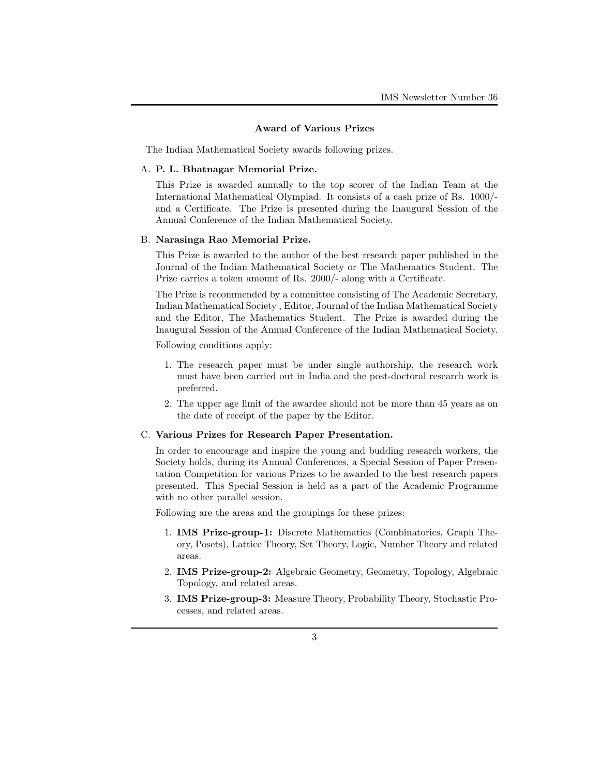#### **Award of Various Prizes**

The Indian Mathematical Society awards following prizes.

#### A. **P. L. Bhatnagar Memorial Prize.**

This Prize is awarded annually to the top scorer of the Indian Team at the International Mathematical Olympiad. It consists of a cash prize of Rs. 1000/ and a Certificate. The Prize is presented during the Inaugural Session of the Annual Conference of the Indian Mathematical Society.

#### B. **Narasinga Rao Memorial Prize.**

This Prize is awarded to the author of the best research paper published in the Journal of the Indian Mathematical Society or The Mathematics Student. The Prize carries a token amount of Rs. 2000/- along with a Certificate.

The Prize is recommended by a committee consisting of The Academic Secretary, Indian Mathematical Society , Editor, Journal of the Indian Mathematical Society and the Editor, The Mathematics Student. The Prize is awarded during the Inaugural Session of the Annual Conference of the Indian Mathematical Society.

Following conditions apply:

- 1. The research paper must be under single authorship, the research work must have been carried out in India and the post-doctoral research work is preferred.
- 2. The upper age limit of the awardee should not be more than 45 years as on the date of receipt of the paper by the Editor.

### C. **Various Prizes for Research Paper Presentation.**

In order to encourage and inspire the young and budding research workers, the Society holds, during its Annual Conferences, a Special Session of Paper Presentation Competition for various Prizes to be awarded to the best research papers presented. This Special Session is held as a part of the Academic Programme with no other parallel session.

Following are the areas and the groupings for these prizes:

- 1. **IMS Prize-group-1:** Discrete Mathematics (Combinatorics, Graph Theory, Posets), Lattice Theory, Set Theory, Logic, Number Theory and related areas.
- 2. **IMS Prize-group-2:** Algebraic Geometry, Geometry, Topology, Algebraic Topology, and related areas.
- 3. **IMS Prize-group-3:** Measure Theory, Probability Theory, Stochastic Processes, and related areas.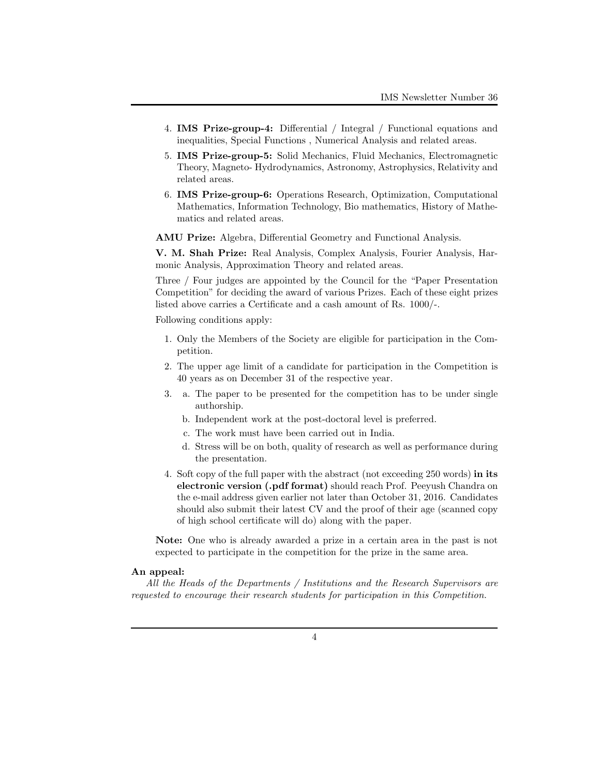- 4. **IMS Prize-group-4:** Differential / Integral / Functional equations and inequalities, Special Functions , Numerical Analysis and related areas.
- 5. **IMS Prize-group-5:** Solid Mechanics, Fluid Mechanics, Electromagnetic Theory, Magneto- Hydrodynamics, Astronomy, Astrophysics, Relativity and related areas.
- 6. **IMS Prize-group-6:** Operations Research, Optimization, Computational Mathematics, Information Technology, Bio mathematics, History of Mathematics and related areas.

**AMU Prize:** Algebra, Differential Geometry and Functional Analysis.

**V. M. Shah Prize:** Real Analysis, Complex Analysis, Fourier Analysis, Harmonic Analysis, Approximation Theory and related areas.

Three / Four judges are appointed by the Council for the "Paper Presentation Competition" for deciding the award of various Prizes. Each of these eight prizes listed above carries a Certificate and a cash amount of Rs. 1000/-.

Following conditions apply:

- 1. Only the Members of the Society are eligible for participation in the Competition.
- 2. The upper age limit of a candidate for participation in the Competition is 40 years as on December 31 of the respective year.
- 3. a. The paper to be presented for the competition has to be under single authorship.
	- b. Independent work at the post-doctoral level is preferred.
	- c. The work must have been carried out in India.
	- d. Stress will be on both, quality of research as well as performance during the presentation.
- 4. Soft copy of the full paper with the abstract (not exceeding 250 words) **in its electronic version (.pdf format)** should reach Prof. Peeyush Chandra on the e-mail address given earlier not later than October 31, 2016. Candidates should also submit their latest CV and the proof of their age (scanned copy of high school certificate will do) along with the paper.

**Note:** One who is already awarded a prize in a certain area in the past is not expected to participate in the competition for the prize in the same area.

#### **An appeal:**

*All the Heads of the Departments / Institutions and the Research Supervisors are requested to encourage their research students for participation in this Competition.*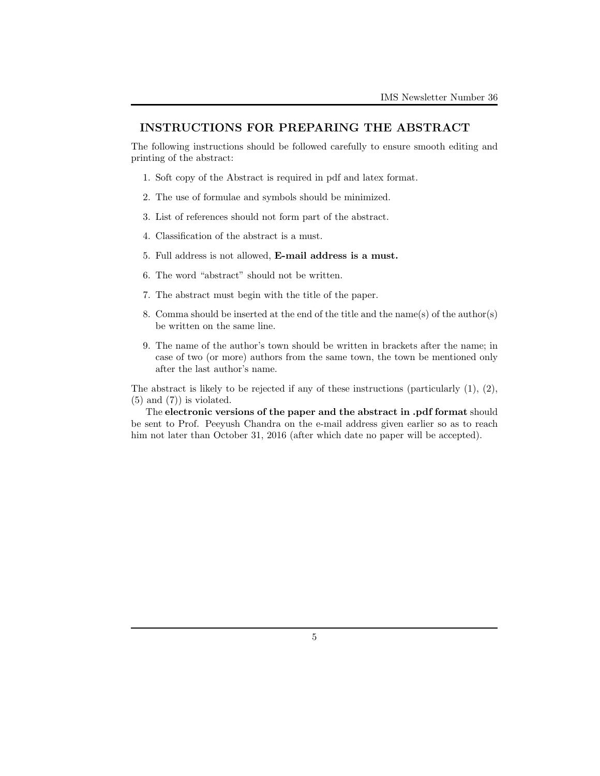## **INSTRUCTIONS FOR PREPARING THE ABSTRACT**

The following instructions should be followed carefully to ensure smooth editing and printing of the abstract:

- 1. Soft copy of the Abstract is required in pdf and latex format.
- 2. The use of formulae and symbols should be minimized.
- 3. List of references should not form part of the abstract.
- 4. Classification of the abstract is a must.
- 5. Full address is not allowed, **E-mail address is a must.**
- 6. The word "abstract" should not be written.
- 7. The abstract must begin with the title of the paper.
- 8. Comma should be inserted at the end of the title and the name(s) of the author(s) be written on the same line.
- 9. The name of the author's town should be written in brackets after the name; in case of two (or more) authors from the same town, the town be mentioned only after the last author's name.

The abstract is likely to be rejected if any of these instructions (particularly (1), (2),  $(5)$  and  $(7)$  is violated.

The **electronic versions of the paper and the abstract in .pdf format** should be sent to Prof. Peeyush Chandra on the e-mail address given earlier so as to reach him not later than October 31, 2016 (after which date no paper will be accepted).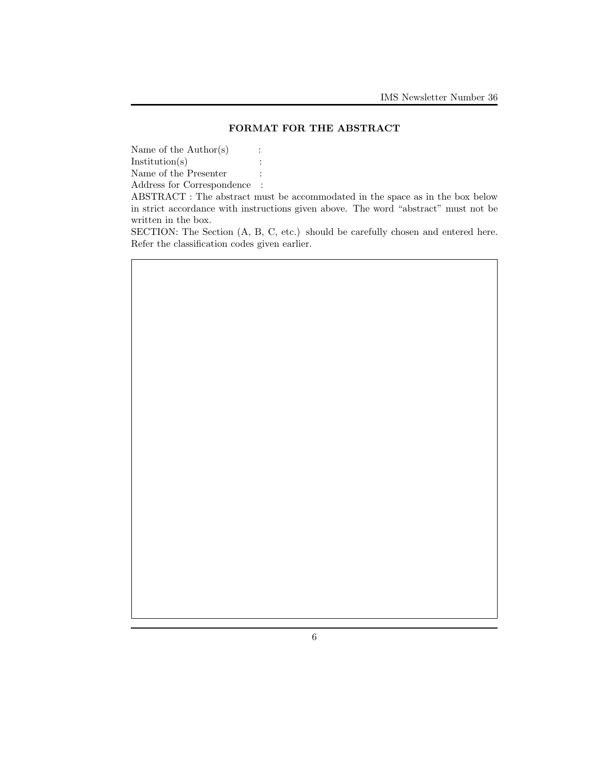## **FORMAT FOR THE ABSTRACT**

Name of the  $\text{Author}(s)$  : Institution(s)  $\qquad \qquad$  :

Name of the Presenter  $\qquad \, :$ 

Address for Correspondence :

ABSTRACT : The abstract must be accommodated in the space as in the box below in strict accordance with instructions given above. The word "abstract" must not be written in the box.

SECTION: The Section (A, B, C, etc.) should be carefully chosen and entered here. Refer the classification codes given earlier.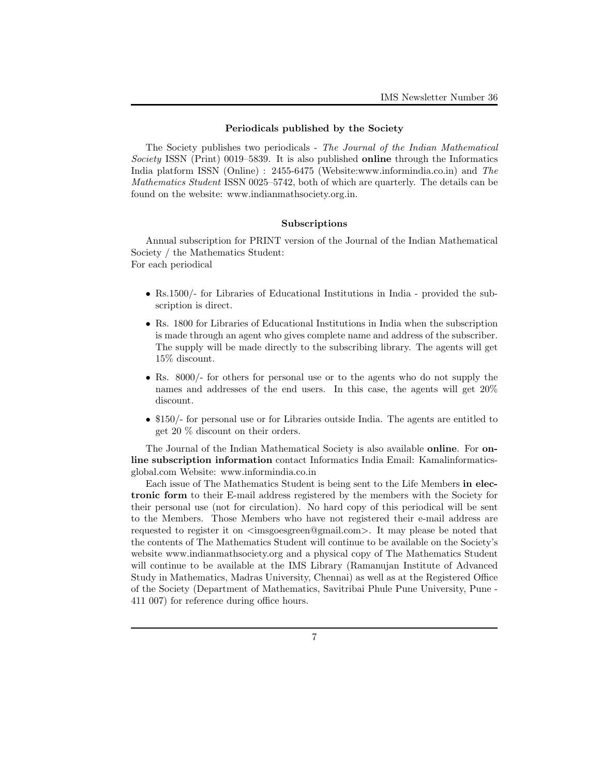#### **Periodicals published by the Society**

The Society publishes two periodicals - *The Journal of the Indian Mathematical Society* ISSN (Print) 0019–5839. It is also published **online** through the Informatics India platform ISSN (Online) : 2455-6475 (Website:www.informindia.co.in) and *The Mathematics Student* ISSN 0025–5742, both of which are quarterly. The details can be found on the website: www.indianmathsociety.org.in.

## **Subscriptions**

Annual subscription for PRINT version of the Journal of the Indian Mathematical Society / the Mathematics Student:

For each periodical

- Rs.1500/- for Libraries of Educational Institutions in India provided the subscription is direct.
- Rs. 1800 for Libraries of Educational Institutions in India when the subscription is made through an agent who gives complete name and address of the subscriber. The supply will be made directly to the subscribing library. The agents will get 15% discount.
- Rs. 8000/- for others for personal use or to the agents who do not supply the names and addresses of the end users. In this case, the agents will get 20% discount.
- \$150/- for personal use or for Libraries outside India. The agents are entitled to get 20 % discount on their orders.

The Journal of the Indian Mathematical Society is also available **online**. For **online subscription information** contact Informatics India Email: Kamalinformaticsglobal.com Website: www.informindia.co.in

Each issue of The Mathematics Student is being sent to the Life Members **in electronic form** to their E-mail address registered by the members with the Society for their personal use (not for circulation). No hard copy of this periodical will be sent to the Members. Those Members who have not registered their e-mail address are requested to register it on *<*imsgoesgreen@gmail.com*>*. It may please be noted that the contents of The Mathematics Student will continue to be available on the Society's website www.indianmathsociety.org and a physical copy of The Mathematics Student will continue to be available at the IMS Library (Ramanujan Institute of Advanced Study in Mathematics, Madras University, Chennai) as well as at the Registered Office of the Society (Department of Mathematics, Savitribai Phule Pune University, Pune - 411 007) for reference during office hours.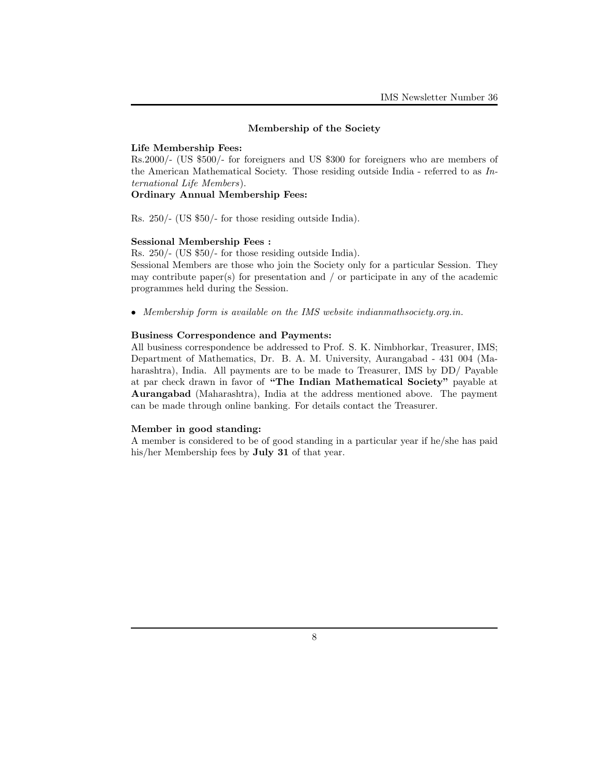### **Membership of the Society**

#### **Life Membership Fees:**

Rs.2000/- (US \$500/- for foreigners and US \$300 for foreigners who are members of the American Mathematical Society. Those residing outside India - referred to as *International Life Members*).

## **Ordinary Annual Membership Fees:**

Rs. 250/- (US \$50/- for those residing outside India).

### **Sessional Membership Fees :**

Rs. 250/- (US \$50/- for those residing outside India).

Sessional Members are those who join the Society only for a particular Session. They may contribute paper(s) for presentation and  $/$  or participate in any of the academic programmes held during the Session.

*• Membership form is available on the IMS website indianmathsociety.org.in.*

#### **Business Correspondence and Payments:**

All business correspondence be addressed to Prof. S. K. Nimbhorkar, Treasurer, IMS; Department of Mathematics, Dr. B. A. M. University, Aurangabad - 431 004 (Maharashtra), India. All payments are to be made to Treasurer, IMS by DD/ Payable at par check drawn in favor of **"The Indian Mathematical Society"** payable at **Aurangabad** (Maharashtra), India at the address mentioned above. The payment can be made through online banking. For details contact the Treasurer.

#### **Member in good standing:**

A member is considered to be of good standing in a particular year if he/she has paid his/her Membership fees by **July 31** of that year.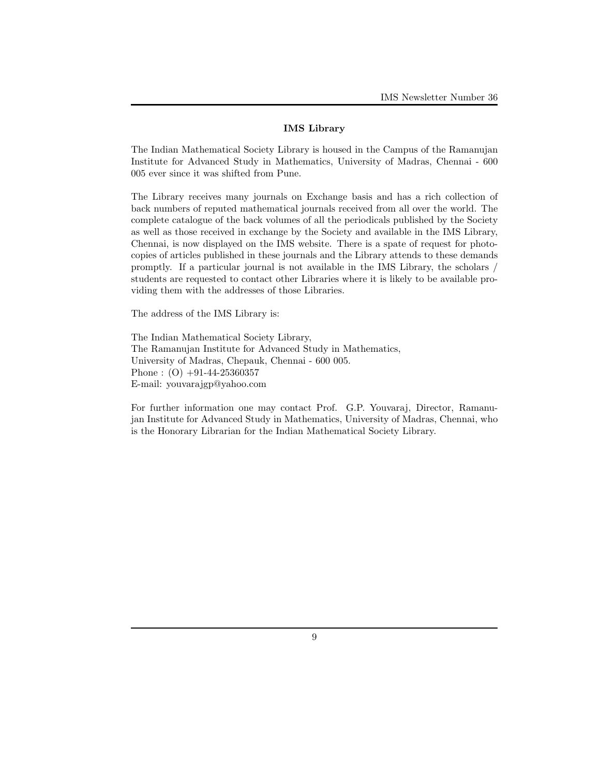### **IMS Library**

The Indian Mathematical Society Library is housed in the Campus of the Ramanujan Institute for Advanced Study in Mathematics, University of Madras, Chennai - 600 005 ever since it was shifted from Pune.

The Library receives many journals on Exchange basis and has a rich collection of back numbers of reputed mathematical journals received from all over the world. The complete catalogue of the back volumes of all the periodicals published by the Society as well as those received in exchange by the Society and available in the IMS Library, Chennai, is now displayed on the IMS website. There is a spate of request for photocopies of articles published in these journals and the Library attends to these demands promptly. If a particular journal is not available in the IMS Library, the scholars / students are requested to contact other Libraries where it is likely to be available providing them with the addresses of those Libraries.

The address of the IMS Library is:

The Indian Mathematical Society Library, The Ramanujan Institute for Advanced Study in Mathematics, University of Madras, Chepauk, Chennai - 600 005. Phone :  $(O)$  +91-44-25360357 E-mail: youvarajgp@yahoo.com

For further information one may contact Prof. G.P. Youvaraj, Director, Ramanujan Institute for Advanced Study in Mathematics, University of Madras, Chennai, who is the Honorary Librarian for the Indian Mathematical Society Library.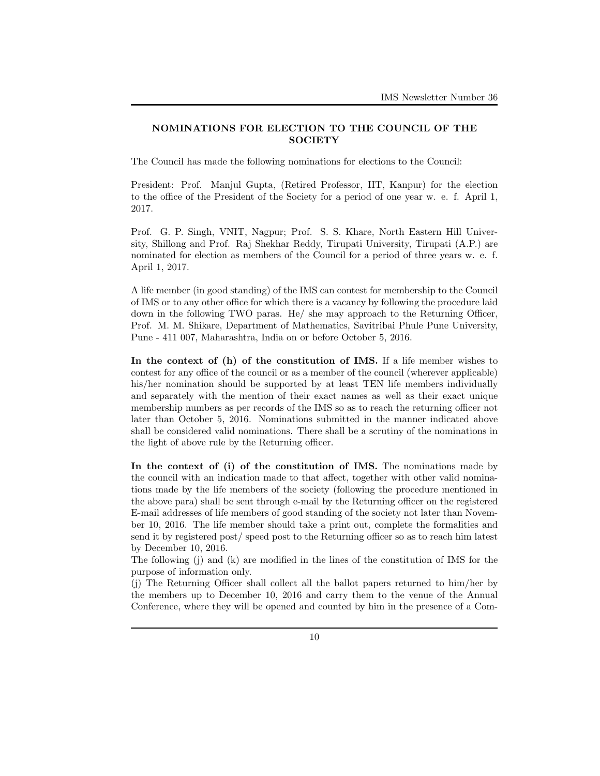## **NOMINATIONS FOR ELECTION TO THE COUNCIL OF THE SOCIETY**

The Council has made the following nominations for elections to the Council:

President: Prof. Manjul Gupta, (Retired Professor, IIT, Kanpur) for the election to the office of the President of the Society for a period of one year w. e. f. April 1, 2017.

Prof. G. P. Singh, VNIT, Nagpur; Prof. S. S. Khare, North Eastern Hill University, Shillong and Prof. Raj Shekhar Reddy, Tirupati University, Tirupati (A.P.) are nominated for election as members of the Council for a period of three years w. e. f. April 1, 2017.

A life member (in good standing) of the IMS can contest for membership to the Council of IMS or to any other office for which there is a vacancy by following the procedure laid down in the following TWO paras. He/ she may approach to the Returning Officer, Prof. M. M. Shikare, Department of Mathematics, Savitribai Phule Pune University, Pune - 411 007, Maharashtra, India on or before October 5, 2016.

**In the context of (h) of the constitution of IMS.** If a life member wishes to contest for any office of the council or as a member of the council (wherever applicable) his/her nomination should be supported by at least TEN life members individually and separately with the mention of their exact names as well as their exact unique membership numbers as per records of the IMS so as to reach the returning officer not later than October 5, 2016. Nominations submitted in the manner indicated above shall be considered valid nominations. There shall be a scrutiny of the nominations in the light of above rule by the Returning officer.

**In the context of (i) of the constitution of IMS.** The nominations made by the council with an indication made to that affect, together with other valid nominations made by the life members of the society (following the procedure mentioned in the above para) shall be sent through e-mail by the Returning officer on the registered E-mail addresses of life members of good standing of the society not later than November 10, 2016. The life member should take a print out, complete the formalities and send it by registered post/ speed post to the Returning officer so as to reach him latest by December 10, 2016.

The following (j) and (k) are modified in the lines of the constitution of IMS for the purpose of information only.

(j) The Returning Officer shall collect all the ballot papers returned to him/her by the members up to December 10, 2016 and carry them to the venue of the Annual Conference, where they will be opened and counted by him in the presence of a Com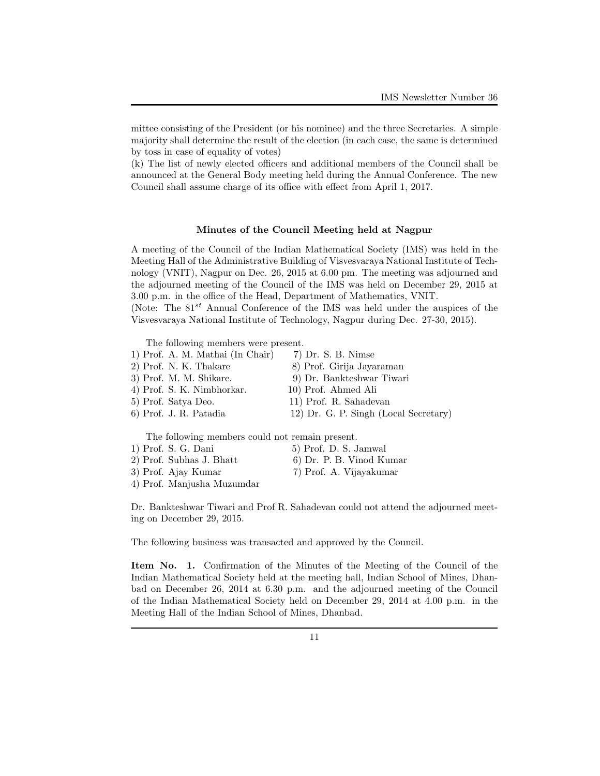mittee consisting of the President (or his nominee) and the three Secretaries. A simple majority shall determine the result of the election (in each case, the same is determined by toss in case of equality of votes)

(k) The list of newly elected officers and additional members of the Council shall be announced at the General Body meeting held during the Annual Conference. The new Council shall assume charge of its office with effect from April 1, 2017.

#### **Minutes of the Council Meeting held at Nagpur**

A meeting of the Council of the Indian Mathematical Society (IMS) was held in the Meeting Hall of the Administrative Building of Visvesvaraya National Institute of Technology (VNIT), Nagpur on Dec. 26, 2015 at 6.00 pm. The meeting was adjourned and the adjourned meeting of the Council of the IMS was held on December 29, 2015 at 3.00 p.m. in the office of the Head, Department of Mathematics, VNIT. (Note: The 81*st* Annual Conference of the IMS was held under the auspices of the Visvesvaraya National Institute of Technology, Nagpur during Dec. 27-30, 2015).

The following members were present.

- 1) Prof. A. M. Mathai (In Chair) 7) Dr. S. B. Nimse 2) Prof. N. K. Thakare 8) Prof. Girija Jayaraman
- 3) Prof. M. M. Shikare. 9) Dr. Bankteshwar Tiwari
- 4) Prof. S. K. Nimbhorkar. 10) Prof. Ahmed Ali

5) Prof. Satya Deo. 11) Prof. R. Sahadevan

6) Prof. J. R. Patadia 12) Dr. G. P. Singh (Local Secretary)

The following members could not remain present.

| 1) Prof. S. G. Dani      | 5) Prof. D. S. Jamwal    |
|--------------------------|--------------------------|
| 2) Prof. Subhas J. Bhatt | 6) Dr. P. B. Vinod Kumar |
| 3) Prof. Ajay Kumar      | 7) Prof. A. Vijayakumar  |

- 4) Prof. Manjusha Muzumdar
- 

Dr. Bankteshwar Tiwari and Prof R. Sahadevan could not attend the adjourned meeting on December 29, 2015.

The following business was transacted and approved by the Council.

**Item No. 1.** Confirmation of the Minutes of the Meeting of the Council of the Indian Mathematical Society held at the meeting hall, Indian School of Mines, Dhanbad on December 26, 2014 at 6.30 p.m. and the adjourned meeting of the Council of the Indian Mathematical Society held on December 29, 2014 at 4.00 p.m. in the Meeting Hall of the Indian School of Mines, Dhanbad.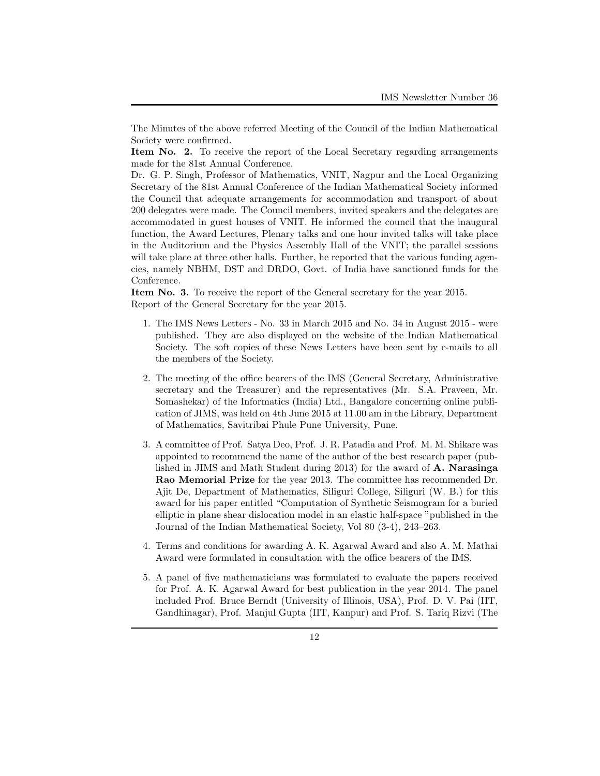The Minutes of the above referred Meeting of the Council of the Indian Mathematical Society were confirmed.

**Item No. 2.** To receive the report of the Local Secretary regarding arrangements made for the 81st Annual Conference.

Dr. G. P. Singh, Professor of Mathematics, VNIT, Nagpur and the Local Organizing Secretary of the 81st Annual Conference of the Indian Mathematical Society informed the Council that adequate arrangements for accommodation and transport of about 200 delegates were made. The Council members, invited speakers and the delegates are accommodated in guest houses of VNIT. He informed the council that the inaugural function, the Award Lectures, Plenary talks and one hour invited talks will take place in the Auditorium and the Physics Assembly Hall of the VNIT; the parallel sessions will take place at three other halls. Further, he reported that the various funding agencies, namely NBHM, DST and DRDO, Govt. of India have sanctioned funds for the Conference.

**Item No. 3.** To receive the report of the General secretary for the year 2015. Report of the General Secretary for the year 2015.

- 1. The IMS News Letters No. 33 in March 2015 and No. 34 in August 2015 were published. They are also displayed on the website of the Indian Mathematical Society. The soft copies of these News Letters have been sent by e-mails to all the members of the Society.
- 2. The meeting of the office bearers of the IMS (General Secretary, Administrative secretary and the Treasurer) and the representatives (Mr. S.A. Praveen, Mr. Somashekar) of the Informatics (India) Ltd., Bangalore concerning online publication of JIMS, was held on 4th June 2015 at 11.00 am in the Library, Department of Mathematics, Savitribai Phule Pune University, Pune.
- 3. A committee of Prof. Satya Deo, Prof. J. R. Patadia and Prof. M. M. Shikare was appointed to recommend the name of the author of the best research paper (published in JIMS and Math Student during 2013) for the award of **A. Narasinga Rao Memorial Prize** for the year 2013. The committee has recommended Dr. Ajit De, Department of Mathematics, Siliguri College, Siliguri (W. B.) for this award for his paper entitled "Computation of Synthetic Seismogram for a buried elliptic in plane shear dislocation model in an elastic half-space "published in the Journal of the Indian Mathematical Society, Vol 80 (3-4), 243–263.
- 4. Terms and conditions for awarding A. K. Agarwal Award and also A. M. Mathai Award were formulated in consultation with the office bearers of the IMS.
- 5. A panel of five mathematicians was formulated to evaluate the papers received for Prof. A. K. Agarwal Award for best publication in the year 2014. The panel included Prof. Bruce Berndt (University of Illinois, USA), Prof. D. V. Pai (IIT, Gandhinagar), Prof. Manjul Gupta (IIT, Kanpur) and Prof. S. Tariq Rizvi (The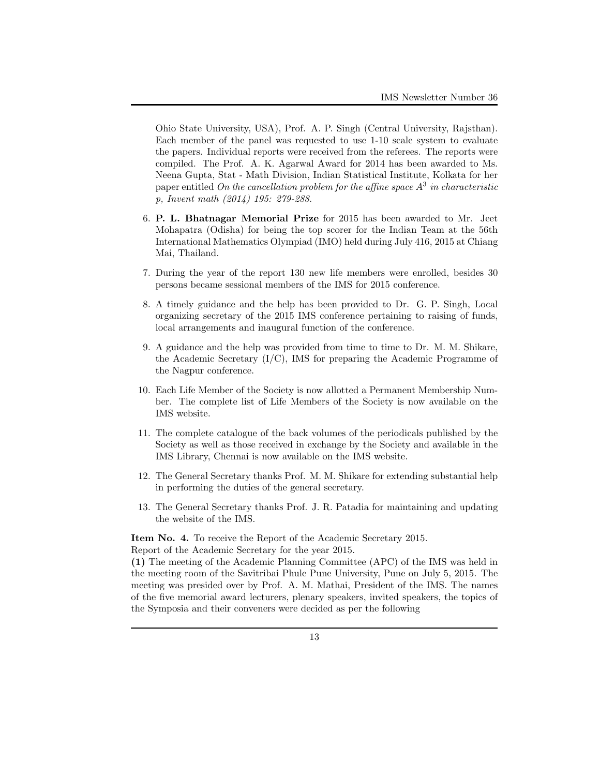Ohio State University, USA), Prof. A. P. Singh (Central University, Rajsthan). Each member of the panel was requested to use 1-10 scale system to evaluate the papers. Individual reports were received from the referees. The reports were compiled. The Prof. A. K. Agarwal Award for 2014 has been awarded to Ms. Neena Gupta, Stat - Math Division, Indian Statistical Institute, Kolkata for her paper entitled *On the cancellation problem for the affine space A*<sup>3</sup> *in characteristic p, Invent math (2014) 195: 279-288*.

- 6. **P. L. Bhatnagar Memorial Prize** for 2015 has been awarded to Mr. Jeet Mohapatra (Odisha) for being the top scorer for the Indian Team at the 56th International Mathematics Olympiad (IMO) held during July 416, 2015 at Chiang Mai, Thailand.
- 7. During the year of the report 130 new life members were enrolled, besides 30 persons became sessional members of the IMS for 2015 conference.
- 8. A timely guidance and the help has been provided to Dr. G. P. Singh, Local organizing secretary of the 2015 IMS conference pertaining to raising of funds, local arrangements and inaugural function of the conference.
- 9. A guidance and the help was provided from time to time to Dr. M. M. Shikare, the Academic Secretary  $(I/C)$ , IMS for preparing the Academic Programme of the Nagpur conference.
- 10. Each Life Member of the Society is now allotted a Permanent Membership Number. The complete list of Life Members of the Society is now available on the IMS website.
- 11. The complete catalogue of the back volumes of the periodicals published by the Society as well as those received in exchange by the Society and available in the IMS Library, Chennai is now available on the IMS website.
- 12. The General Secretary thanks Prof. M. M. Shikare for extending substantial help in performing the duties of the general secretary.
- 13. The General Secretary thanks Prof. J. R. Patadia for maintaining and updating the website of the IMS.

**Item No. 4.** To receive the Report of the Academic Secretary 2015.

Report of the Academic Secretary for the year 2015.

**(1)** The meeting of the Academic Planning Committee (APC) of the IMS was held in the meeting room of the Savitribai Phule Pune University, Pune on July 5, 2015. The meeting was presided over by Prof. A. M. Mathai, President of the IMS. The names of the five memorial award lecturers, plenary speakers, invited speakers, the topics of the Symposia and their conveners were decided as per the following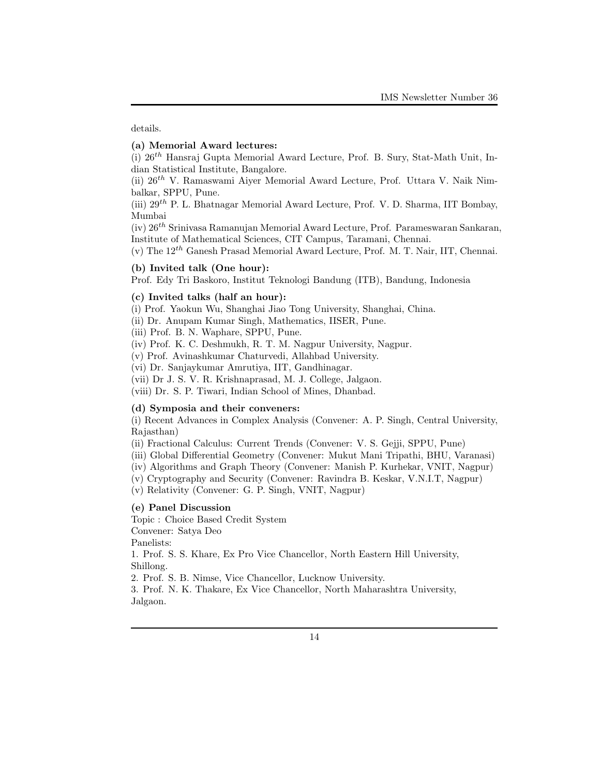details.

## **(a) Memorial Award lectures:**

(i) 26*th* Hansraj Gupta Memorial Award Lecture, Prof. B. Sury, Stat-Math Unit, Indian Statistical Institute, Bangalore.

(ii) 26*th* V. Ramaswami Aiyer Memorial Award Lecture, Prof. Uttara V. Naik Nimbalkar, SPPU, Pune.

(iii) 29*th* P. L. Bhatnagar Memorial Award Lecture, Prof. V. D. Sharma, IIT Bombay, Mumbai

(iv) 26*th* Srinivasa Ramanujan Memorial Award Lecture, Prof. Parameswaran Sankaran, Institute of Mathematical Sciences, CIT Campus, Taramani, Chennai.

(v) The 12*th* Ganesh Prasad Memorial Award Lecture, Prof. M. T. Nair, IIT, Chennai.

## **(b) Invited talk (One hour):**

Prof. Edy Tri Baskoro, Institut Teknologi Bandung (ITB), Bandung, Indonesia

## **(c) Invited talks (half an hour):**

(i) Prof. Yaokun Wu, Shanghai Jiao Tong University, Shanghai, China.

(ii) Dr. Anupam Kumar Singh, Mathematics, IISER, Pune.

(iii) Prof. B. N. Waphare, SPPU, Pune.

(iv) Prof. K. C. Deshmukh, R. T. M. Nagpur University, Nagpur.

(v) Prof. Avinashkumar Chaturvedi, Allahbad University.

(vi) Dr. Sanjaykumar Amrutiya, IIT, Gandhinagar.

(vii) Dr J. S. V. R. Krishnaprasad, M. J. College, Jalgaon.

(viii) Dr. S. P. Tiwari, Indian School of Mines, Dhanbad.

## **(d) Symposia and their conveners:**

(i) Recent Advances in Complex Analysis (Convener: A. P. Singh, Central University, Rajasthan)

(ii) Fractional Calculus: Current Trends (Convener: V. S. Gejji, SPPU, Pune)

(iii) Global Differential Geometry (Convener: Mukut Mani Tripathi, BHU, Varanasi)

(iv) Algorithms and Graph Theory (Convener: Manish P. Kurhekar, VNIT, Nagpur)

(v) Cryptography and Security (Convener: Ravindra B. Keskar, V.N.I.T, Nagpur)

(v) Relativity (Convener: G. P. Singh, VNIT, Nagpur)

## **(e) Panel Discussion**

Topic : Choice Based Credit System

Convener: Satya Deo

Panelists:

1. Prof. S. S. Khare, Ex Pro Vice Chancellor, North Eastern Hill University, Shillong.

2. Prof. S. B. Nimse, Vice Chancellor, Lucknow University.

3. Prof. N. K. Thakare, Ex Vice Chancellor, North Maharashtra University, Jalgaon.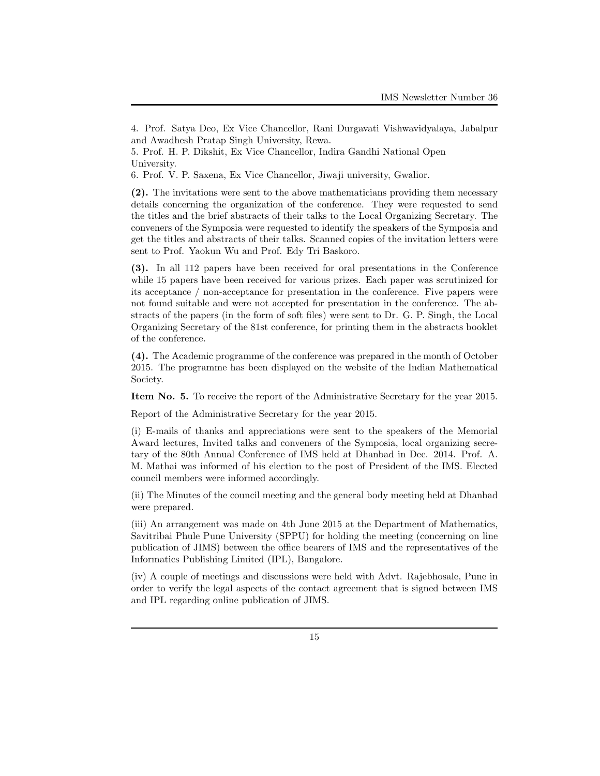**(2).** The invitations were sent to the above mathematicians providing them necessary details concerning the organization of the conference. They were requested to send the titles and the brief abstracts of their talks to the Local Organizing Secretary. The conveners of the Symposia were requested to identify the speakers of the Symposia and get the titles and abstracts of their talks. Scanned copies of the invitation letters were sent to Prof. Yaokun Wu and Prof. Edy Tri Baskoro.

**(3).** In all 112 papers have been received for oral presentations in the Conference while 15 papers have been received for various prizes. Each paper was scrutinized for its acceptance / non-acceptance for presentation in the conference. Five papers were not found suitable and were not accepted for presentation in the conference. The abstracts of the papers (in the form of soft files) were sent to Dr. G. P. Singh, the Local Organizing Secretary of the 81st conference, for printing them in the abstracts booklet of the conference.

**(4).** The Academic programme of the conference was prepared in the month of October 2015. The programme has been displayed on the website of the Indian Mathematical Society.

**Item No. 5.** To receive the report of the Administrative Secretary for the year 2015.

Report of the Administrative Secretary for the year 2015.

(i) E-mails of thanks and appreciations were sent to the speakers of the Memorial Award lectures, Invited talks and conveners of the Symposia, local organizing secretary of the 80th Annual Conference of IMS held at Dhanbad in Dec. 2014. Prof. A. M. Mathai was informed of his election to the post of President of the IMS. Elected council members were informed accordingly.

(ii) The Minutes of the council meeting and the general body meeting held at Dhanbad were prepared.

(iii) An arrangement was made on 4th June 2015 at the Department of Mathematics, Savitribai Phule Pune University (SPPU) for holding the meeting (concerning on line publication of JIMS) between the office bearers of IMS and the representatives of the Informatics Publishing Limited (IPL), Bangalore.

(iv) A couple of meetings and discussions were held with Advt. Rajebhosale, Pune in order to verify the legal aspects of the contact agreement that is signed between IMS and IPL regarding online publication of JIMS.

<sup>4.</sup> Prof. Satya Deo, Ex Vice Chancellor, Rani Durgavati Vishwavidyalaya, Jabalpur and Awadhesh Pratap Singh University, Rewa.

<sup>5.</sup> Prof. H. P. Dikshit, Ex Vice Chancellor, Indira Gandhi National Open University.

<sup>6.</sup> Prof. V. P. Saxena, Ex Vice Chancellor, Jiwaji university, Gwalior.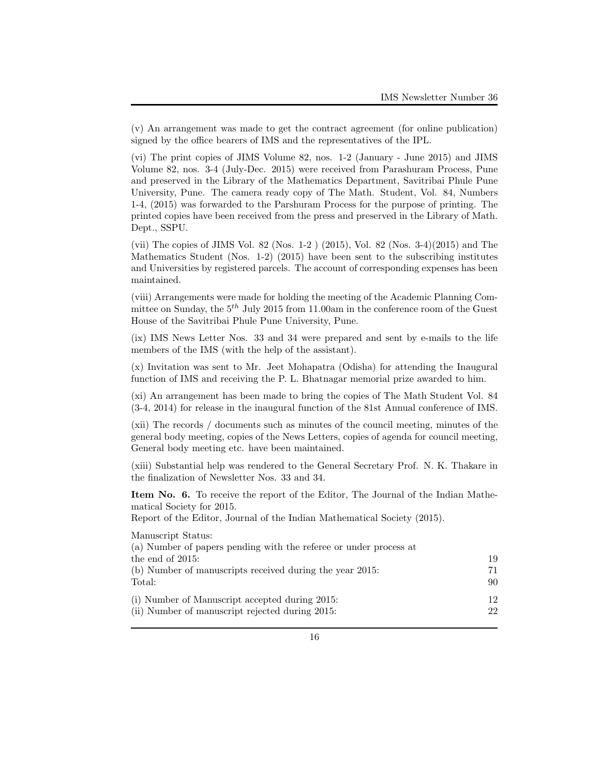(v) An arrangement was made to get the contract agreement (for online publication) signed by the office bearers of IMS and the representatives of the IPL.

(vi) The print copies of JIMS Volume 82, nos. 1-2 (January - June 2015) and JIMS Volume 82, nos. 3-4 (July-Dec. 2015) were received from Parashuram Process, Pune and preserved in the Library of the Mathematics Department, Savitribai Phule Pune University, Pune. The camera ready copy of The Math. Student, Vol. 84, Numbers 1-4, (2015) was forwarded to the Parshuram Process for the purpose of printing. The printed copies have been received from the press and preserved in the Library of Math. Dept., SSPU.

(vii) The copies of JIMS Vol. 82 (Nos. 1-2 ) (2015), Vol. 82 (Nos. 3-4)(2015) and The Mathematics Student (Nos. 1-2) (2015) have been sent to the subscribing institutes and Universities by registered parcels. The account of corresponding expenses has been maintained.

(viii) Arrangements were made for holding the meeting of the Academic Planning Committee on Sunday, the 5*th* July 2015 from 11.00am in the conference room of the Guest House of the Savitribai Phule Pune University, Pune.

(ix) IMS News Letter Nos. 33 and 34 were prepared and sent by e-mails to the life members of the IMS (with the help of the assistant).

(x) Invitation was sent to Mr. Jeet Mohapatra (Odisha) for attending the Inaugural function of IMS and receiving the P. L. Bhatnagar memorial prize awarded to him.

(xi) An arrangement has been made to bring the copies of The Math Student Vol. 84 (3-4, 2014) for release in the inaugural function of the 81st Annual conference of IMS.

(xii) The records / documents such as minutes of the council meeting, minutes of the general body meeting, copies of the News Letters, copies of agenda for council meeting, General body meeting etc. have been maintained.

(xiii) Substantial help was rendered to the General Secretary Prof. N. K. Thakare in the finalization of Newsletter Nos. 33 and 34.

**Item No. 6.** To receive the report of the Editor, The Journal of the Indian Mathematical Society for 2015.

Report of the Editor, Journal of the Indian Mathematical Society (2015).

Manuscript Status:

| (a) Number of papers pending with the referee or under process at |      |
|-------------------------------------------------------------------|------|
| the end of $2015$ :                                               | 19   |
| (b) Number of manuscripts received during the year 2015:          | 71   |
| Total:                                                            | -90- |
| (i) Number of Manuscript accepted during 2015:                    | 12.  |
| (ii) Number of manuscript rejected during 2015:                   | 22   |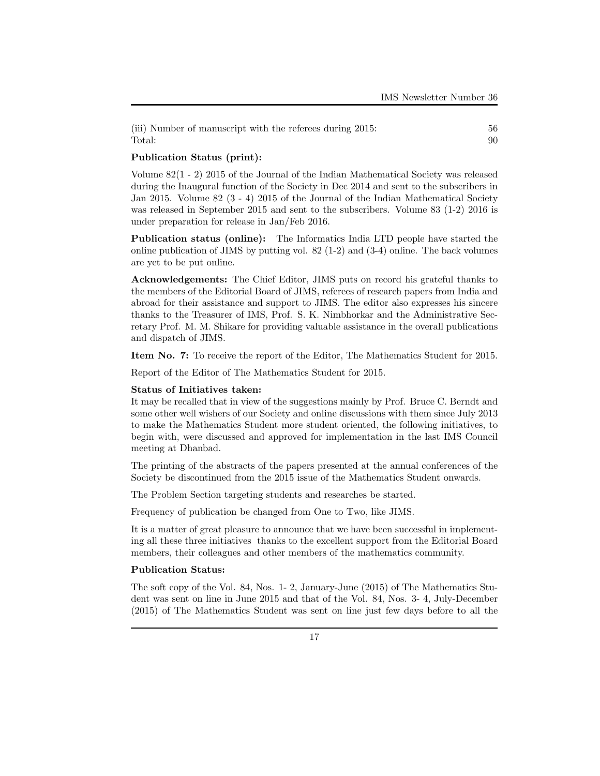(iii) Number of manuscript with the referees during 2015: 56 Total: 90

## **Publication Status (print):**

Volume 82(1 - 2) 2015 of the Journal of the Indian Mathematical Society was released during the Inaugural function of the Society in Dec 2014 and sent to the subscribers in Jan 2015. Volume 82 (3 - 4) 2015 of the Journal of the Indian Mathematical Society was released in September 2015 and sent to the subscribers. Volume 83 (1-2) 2016 is under preparation for release in Jan/Feb 2016.

**Publication status (online):** The Informatics India LTD people have started the online publication of JIMS by putting vol. 82  $(1-2)$  and  $(3-4)$  online. The back volumes are yet to be put online.

**Acknowledgements:** The Chief Editor, JIMS puts on record his grateful thanks to the members of the Editorial Board of JIMS, referees of research papers from India and abroad for their assistance and support to JIMS. The editor also expresses his sincere thanks to the Treasurer of IMS, Prof. S. K. Nimbhorkar and the Administrative Secretary Prof. M. M. Shikare for providing valuable assistance in the overall publications and dispatch of JIMS.

**Item No. 7:** To receive the report of the Editor, The Mathematics Student for 2015.

Report of the Editor of The Mathematics Student for 2015.

#### **Status of Initiatives taken:**

It may be recalled that in view of the suggestions mainly by Prof. Bruce C. Berndt and some other well wishers of our Society and online discussions with them since July 2013 to make the Mathematics Student more student oriented, the following initiatives, to begin with, were discussed and approved for implementation in the last IMS Council meeting at Dhanbad.

The printing of the abstracts of the papers presented at the annual conferences of the Society be discontinued from the 2015 issue of the Mathematics Student onwards.

The Problem Section targeting students and researches be started.

Frequency of publication be changed from One to Two, like JIMS.

It is a matter of great pleasure to announce that we have been successful in implementing all these three initiatives thanks to the excellent support from the Editorial Board members, their colleagues and other members of the mathematics community.

## **Publication Status:**

The soft copy of the Vol. 84, Nos. 1- 2, January-June (2015) of The Mathematics Student was sent on line in June 2015 and that of the Vol. 84, Nos. 3- 4, July-December (2015) of The Mathematics Student was sent on line just few days before to all the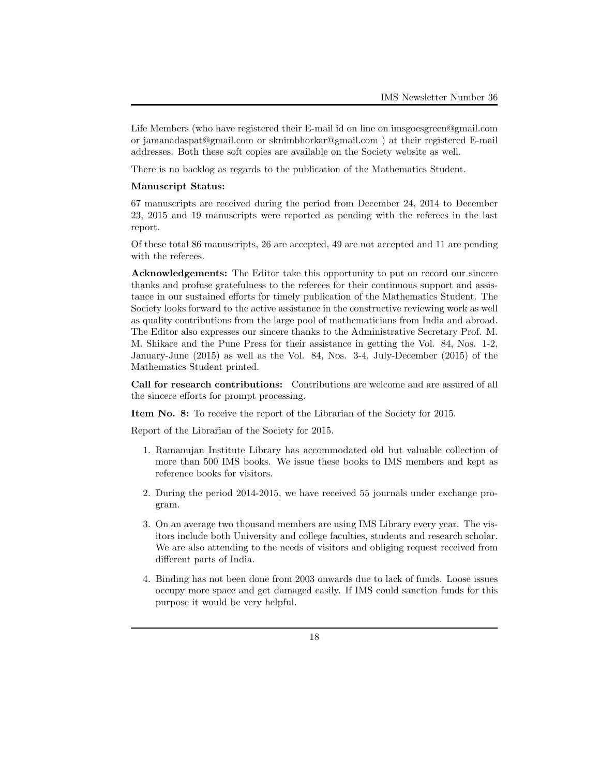Life Members (who have registered their E-mail id on line on imsgoesgreen@gmail.com or jamanadaspat@gmail.com or sknimbhorkar@gmail.com ) at their registered E-mail addresses. Both these soft copies are available on the Society website as well.

There is no backlog as regards to the publication of the Mathematics Student.

### **Manuscript Status:**

67 manuscripts are received during the period from December 24, 2014 to December 23, 2015 and 19 manuscripts were reported as pending with the referees in the last report.

Of these total 86 manuscripts, 26 are accepted, 49 are not accepted and 11 are pending with the referees.

**Acknowledgements:** The Editor take this opportunity to put on record our sincere thanks and profuse gratefulness to the referees for their continuous support and assistance in our sustained efforts for timely publication of the Mathematics Student. The Society looks forward to the active assistance in the constructive reviewing work as well as quality contributions from the large pool of mathematicians from India and abroad. The Editor also expresses our sincere thanks to the Administrative Secretary Prof. M. M. Shikare and the Pune Press for their assistance in getting the Vol. 84, Nos. 1-2, January-June (2015) as well as the Vol. 84, Nos. 3-4, July-December (2015) of the Mathematics Student printed.

**Call for research contributions:** Contributions are welcome and are assured of all the sincere efforts for prompt processing.

**Item No. 8:** To receive the report of the Librarian of the Society for 2015.

Report of the Librarian of the Society for 2015.

- 1. Ramanujan Institute Library has accommodated old but valuable collection of more than 500 IMS books. We issue these books to IMS members and kept as reference books for visitors.
- 2. During the period 2014-2015, we have received 55 journals under exchange program.
- 3. On an average two thousand members are using IMS Library every year. The visitors include both University and college faculties, students and research scholar. We are also attending to the needs of visitors and obliging request received from different parts of India.
- 4. Binding has not been done from 2003 onwards due to lack of funds. Loose issues occupy more space and get damaged easily. If IMS could sanction funds for this purpose it would be very helpful.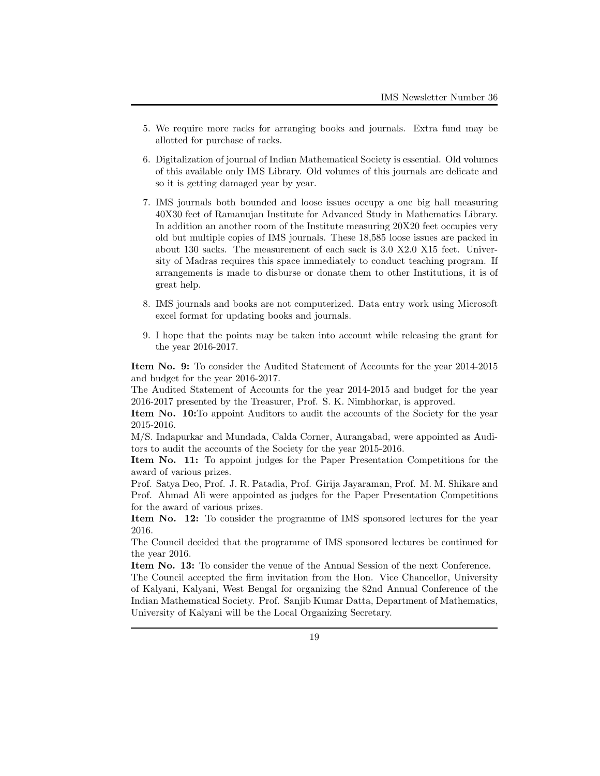- 5. We require more racks for arranging books and journals. Extra fund may be allotted for purchase of racks.
- 6. Digitalization of journal of Indian Mathematical Society is essential. Old volumes of this available only IMS Library. Old volumes of this journals are delicate and so it is getting damaged year by year.
- 7. IMS journals both bounded and loose issues occupy a one big hall measuring 40X30 feet of Ramanujan Institute for Advanced Study in Mathematics Library. In addition an another room of the Institute measuring 20X20 feet occupies very old but multiple copies of IMS journals. These 18,585 loose issues are packed in about 130 sacks. The measurement of each sack is 3.0 X2.0 X15 feet. University of Madras requires this space immediately to conduct teaching program. If arrangements is made to disburse or donate them to other Institutions, it is of great help.
- 8. IMS journals and books are not computerized. Data entry work using Microsoft excel format for updating books and journals.
- 9. I hope that the points may be taken into account while releasing the grant for the year 2016-2017.

**Item No. 9:** To consider the Audited Statement of Accounts for the year 2014-2015 and budget for the year 2016-2017.

The Audited Statement of Accounts for the year 2014-2015 and budget for the year 2016-2017 presented by the Treasurer, Prof. S. K. Nimbhorkar, is approved.

**Item No. 10:**To appoint Auditors to audit the accounts of the Society for the year 2015-2016.

M/S. Indapurkar and Mundada, Calda Corner, Aurangabad, were appointed as Auditors to audit the accounts of the Society for the year 2015-2016.

**Item No. 11:** To appoint judges for the Paper Presentation Competitions for the award of various prizes.

Prof. Satya Deo, Prof. J. R. Patadia, Prof. Girija Jayaraman, Prof. M. M. Shikare and Prof. Ahmad Ali were appointed as judges for the Paper Presentation Competitions for the award of various prizes.

**Item No. 12:** To consider the programme of IMS sponsored lectures for the year 2016.

The Council decided that the programme of IMS sponsored lectures be continued for the year 2016.

**Item No. 13:** To consider the venue of the Annual Session of the next Conference.

The Council accepted the firm invitation from the Hon. Vice Chancellor, University of Kalyani, Kalyani, West Bengal for organizing the 82nd Annual Conference of the Indian Mathematical Society. Prof. Sanjib Kumar Datta, Department of Mathematics, University of Kalyani will be the Local Organizing Secretary.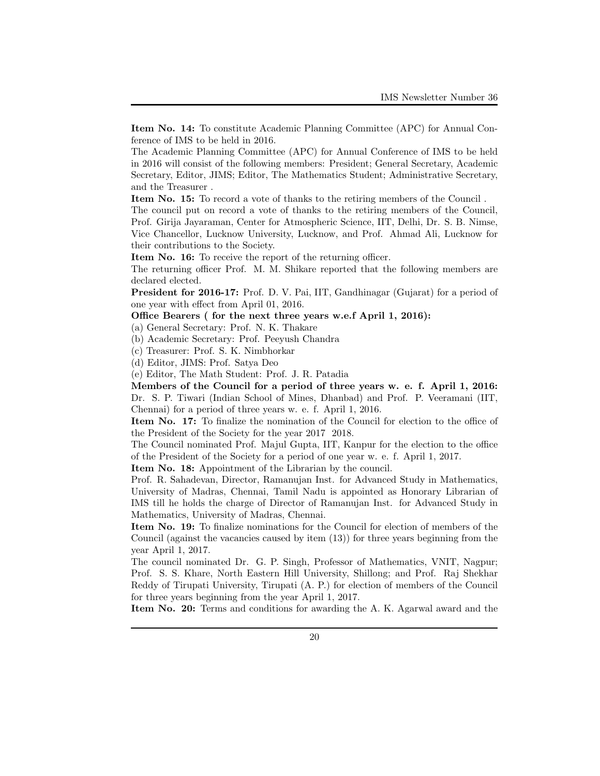**Item No. 14:** To constitute Academic Planning Committee (APC) for Annual Conference of IMS to be held in 2016.

The Academic Planning Committee (APC) for Annual Conference of IMS to be held in 2016 will consist of the following members: President; General Secretary, Academic Secretary, Editor, JIMS; Editor, The Mathematics Student; Administrative Secretary, and the Treasurer .

**Item No. 15:** To record a vote of thanks to the retiring members of the Council .

The council put on record a vote of thanks to the retiring members of the Council, Prof. Girija Jayaraman, Center for Atmospheric Science, IIT, Delhi, Dr. S. B. Nimse, Vice Chancellor, Lucknow University, Lucknow, and Prof. Ahmad Ali, Lucknow for their contributions to the Society.

**Item No. 16:** To receive the report of the returning officer.

The returning officer Prof. M. M. Shikare reported that the following members are declared elected.

**President for 2016-17:** Prof. D. V. Pai, IIT, Gandhinagar (Gujarat) for a period of one year with effect from April 01, 2016.

#### **Office Bearers ( for the next three years w.e.f April 1, 2016):**

(a) General Secretary: Prof. N. K. Thakare

(b) Academic Secretary: Prof. Peeyush Chandra

(c) Treasurer: Prof. S. K. Nimbhorkar

(d) Editor, JIMS: Prof. Satya Deo

(e) Editor, The Math Student: Prof. J. R. Patadia

**Members of the Council for a period of three years w. e. f. April 1, 2016:** Dr. S. P. Tiwari (Indian School of Mines, Dhanbad) and Prof. P. Veeramani (IIT, Chennai) for a period of three years w. e. f. April 1, 2016.

**Item No. 17:** To finalize the nomination of the Council for election to the office of the President of the Society for the year 2017 2018.

The Council nominated Prof. Majul Gupta, IIT, Kanpur for the election to the office of the President of the Society for a period of one year w. e. f. April 1, 2017.

**Item No. 18:** Appointment of the Librarian by the council.

Prof. R. Sahadevan, Director, Ramanujan Inst. for Advanced Study in Mathematics, University of Madras, Chennai, Tamil Nadu is appointed as Honorary Librarian of IMS till he holds the charge of Director of Ramanujan Inst. for Advanced Study in Mathematics, University of Madras, Chennai.

**Item No. 19:** To finalize nominations for the Council for election of members of the Council (against the vacancies caused by item (13)) for three years beginning from the year April 1, 2017.

The council nominated Dr. G. P. Singh, Professor of Mathematics, VNIT, Nagpur; Prof. S. S. Khare, North Eastern Hill University, Shillong; and Prof. Raj Shekhar Reddy of Tirupati University, Tirupati (A. P.) for election of members of the Council for three years beginning from the year April 1, 2017.

**Item No. 20:** Terms and conditions for awarding the A. K. Agarwal award and the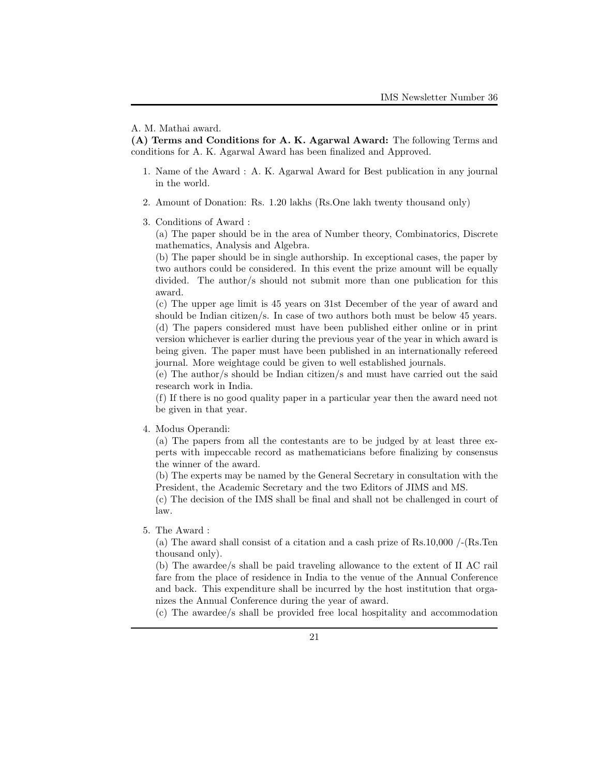**(A) Terms and Conditions for A. K. Agarwal Award:** The following Terms and conditions for A. K. Agarwal Award has been finalized and Approved.

- 1. Name of the Award : A. K. Agarwal Award for Best publication in any journal in the world.
- 2. Amount of Donation: Rs. 1.20 lakhs (Rs.One lakh twenty thousand only)
- 3. Conditions of Award :

(a) The paper should be in the area of Number theory, Combinatorics, Discrete mathematics, Analysis and Algebra.

(b) The paper should be in single authorship. In exceptional cases, the paper by two authors could be considered. In this event the prize amount will be equally divided. The author/s should not submit more than one publication for this award.

(c) The upper age limit is 45 years on 31st December of the year of award and should be Indian citizen/s. In case of two authors both must be below 45 years. (d) The papers considered must have been published either online or in print version whichever is earlier during the previous year of the year in which award is being given. The paper must have been published in an internationally refereed journal. More weightage could be given to well established journals.

(e) The author/s should be Indian citizen/s and must have carried out the said research work in India.

(f) If there is no good quality paper in a particular year then the award need not be given in that year.

4. Modus Operandi:

(a) The papers from all the contestants are to be judged by at least three experts with impeccable record as mathematicians before finalizing by consensus the winner of the award.

(b) The experts may be named by the General Secretary in consultation with the President, the Academic Secretary and the two Editors of JIMS and MS.

(c) The decision of the IMS shall be final and shall not be challenged in court of law.

5. The Award :

(a) The award shall consist of a citation and a cash prize of  $\text{Rs}.10,000$  /-( $\text{Rs}.$ Ten thousand only).

(b) The awardee/s shall be paid traveling allowance to the extent of II AC rail fare from the place of residence in India to the venue of the Annual Conference and back. This expenditure shall be incurred by the host institution that organizes the Annual Conference during the year of award.

(c) The awardee/s shall be provided free local hospitality and accommodation

A. M. Mathai award.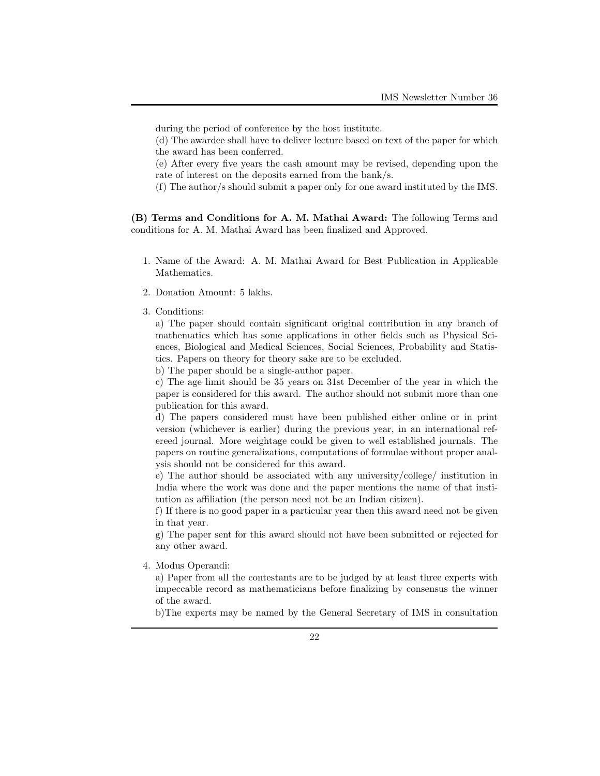during the period of conference by the host institute.

(d) The awardee shall have to deliver lecture based on text of the paper for which the award has been conferred.

(e) After every five years the cash amount may be revised, depending upon the rate of interest on the deposits earned from the bank/s.

(f) The author/s should submit a paper only for one award instituted by the IMS.

**(B) Terms and Conditions for A. M. Mathai Award:** The following Terms and conditions for A. M. Mathai Award has been finalized and Approved.

- 1. Name of the Award: A. M. Mathai Award for Best Publication in Applicable Mathematics.
- 2. Donation Amount: 5 lakhs.
- 3. Conditions:

a) The paper should contain significant original contribution in any branch of mathematics which has some applications in other fields such as Physical Sciences, Biological and Medical Sciences, Social Sciences, Probability and Statistics. Papers on theory for theory sake are to be excluded.

b) The paper should be a single-author paper.

c) The age limit should be 35 years on 31st December of the year in which the paper is considered for this award. The author should not submit more than one publication for this award.

d) The papers considered must have been published either online or in print version (whichever is earlier) during the previous year, in an international refereed journal. More weightage could be given to well established journals. The papers on routine generalizations, computations of formulae without proper analysis should not be considered for this award.

e) The author should be associated with any university/college/ institution in India where the work was done and the paper mentions the name of that institution as affiliation (the person need not be an Indian citizen).

f) If there is no good paper in a particular year then this award need not be given in that year.

g) The paper sent for this award should not have been submitted or rejected for any other award.

4. Modus Operandi:

a) Paper from all the contestants are to be judged by at least three experts with impeccable record as mathematicians before finalizing by consensus the winner of the award.

b)The experts may be named by the General Secretary of IMS in consultation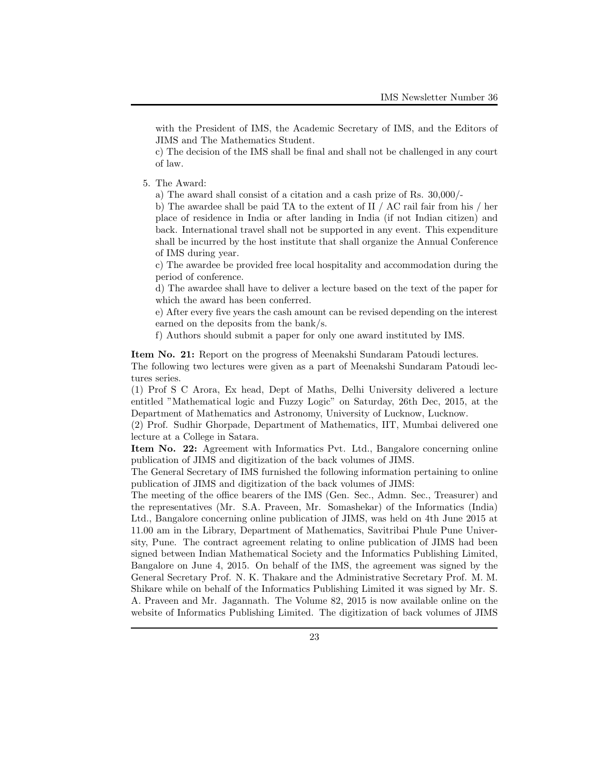with the President of IMS, the Academic Secretary of IMS, and the Editors of JIMS and The Mathematics Student.

c) The decision of the IMS shall be final and shall not be challenged in any court of law.

5. The Award:

a) The award shall consist of a citation and a cash prize of Rs. 30,000/-

b) The awardee shall be paid TA to the extent of II / AC rail fair from his / her place of residence in India or after landing in India (if not Indian citizen) and back. International travel shall not be supported in any event. This expenditure shall be incurred by the host institute that shall organize the Annual Conference of IMS during year.

c) The awardee be provided free local hospitality and accommodation during the period of conference.

d) The awardee shall have to deliver a lecture based on the text of the paper for which the award has been conferred.

e) After every five years the cash amount can be revised depending on the interest earned on the deposits from the bank/s.

f) Authors should submit a paper for only one award instituted by IMS.

**Item No. 21:** Report on the progress of Meenakshi Sundaram Patoudi lectures. The following two lectures were given as a part of Meenakshi Sundaram Patoudi lectures series.

(1) Prof S C Arora, Ex head, Dept of Maths, Delhi University delivered a lecture entitled "Mathematical logic and Fuzzy Logic" on Saturday, 26th Dec, 2015, at the Department of Mathematics and Astronomy, University of Lucknow, Lucknow.

(2) Prof. Sudhir Ghorpade, Department of Mathematics, IIT, Mumbai delivered one lecture at a College in Satara.

**Item No. 22:** Agreement with Informatics Pvt. Ltd., Bangalore concerning online publication of JIMS and digitization of the back volumes of JIMS.

The General Secretary of IMS furnished the following information pertaining to online publication of JIMS and digitization of the back volumes of JIMS:

The meeting of the office bearers of the IMS (Gen. Sec., Admn. Sec., Treasurer) and the representatives (Mr. S.A. Praveen, Mr. Somashekar) of the Informatics (India) Ltd., Bangalore concerning online publication of JIMS, was held on 4th June 2015 at 11.00 am in the Library, Department of Mathematics, Savitribai Phule Pune University, Pune. The contract agreement relating to online publication of JIMS had been signed between Indian Mathematical Society and the Informatics Publishing Limited, Bangalore on June 4, 2015. On behalf of the IMS, the agreement was signed by the General Secretary Prof. N. K. Thakare and the Administrative Secretary Prof. M. M. Shikare while on behalf of the Informatics Publishing Limited it was signed by Mr. S. A. Praveen and Mr. Jagannath. The Volume 82, 2015 is now available online on the website of Informatics Publishing Limited. The digitization of back volumes of JIMS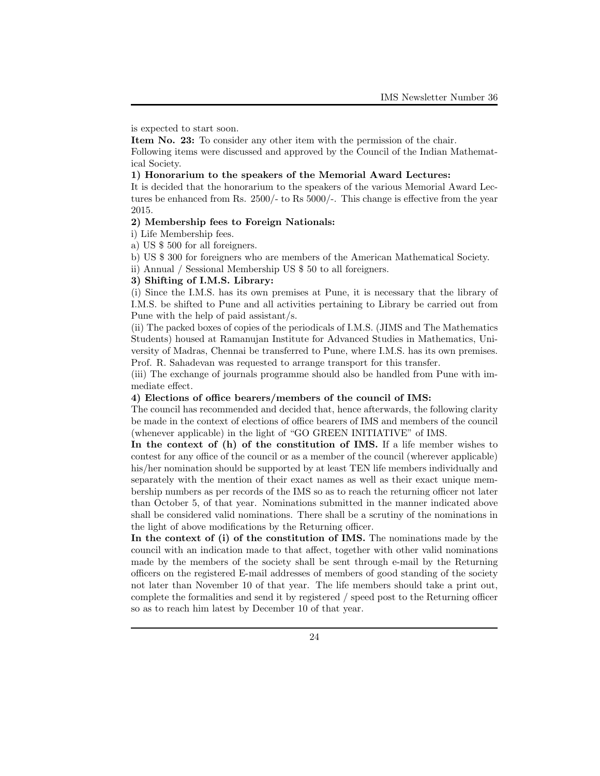is expected to start soon.

**Item No. 23:** To consider any other item with the permission of the chair. Following items were discussed and approved by the Council of the Indian Mathematical Society.

### **1) Honorarium to the speakers of the Memorial Award Lectures:**

It is decided that the honorarium to the speakers of the various Memorial Award Lectures be enhanced from Rs. 2500/- to Rs 5000/-. This change is effective from the year 2015.

### **2) Membership fees to Foreign Nationals:**

i) Life Membership fees.

- a) US \$ 500 for all foreigners.
- b) US \$ 300 for foreigners who are members of the American Mathematical Society.

ii) Annual / Sessional Membership US \$ 50 to all foreigners.

#### **3) Shifting of I.M.S. Library:**

(i) Since the I.M.S. has its own premises at Pune, it is necessary that the library of I.M.S. be shifted to Pune and all activities pertaining to Library be carried out from Pune with the help of paid assistant/s.

(ii) The packed boxes of copies of the periodicals of I.M.S. (JIMS and The Mathematics Students) housed at Ramanujan Institute for Advanced Studies in Mathematics, University of Madras, Chennai be transferred to Pune, where I.M.S. has its own premises. Prof. R. Sahadevan was requested to arrange transport for this transfer.

(iii) The exchange of journals programme should also be handled from Pune with immediate effect.

### **4) Elections of office bearers/members of the council of IMS:**

The council has recommended and decided that, hence afterwards, the following clarity be made in the context of elections of office bearers of IMS and members of the council (whenever applicable) in the light of "GO GREEN INITIATIVE" of IMS.

**In the context of (h) of the constitution of IMS.** If a life member wishes to contest for any office of the council or as a member of the council (wherever applicable) his/her nomination should be supported by at least TEN life members individually and separately with the mention of their exact names as well as their exact unique membership numbers as per records of the IMS so as to reach the returning officer not later than October 5, of that year. Nominations submitted in the manner indicated above shall be considered valid nominations. There shall be a scrutiny of the nominations in the light of above modifications by the Returning officer.

**In the context of (i) of the constitution of IMS.** The nominations made by the council with an indication made to that affect, together with other valid nominations made by the members of the society shall be sent through e-mail by the Returning officers on the registered E-mail addresses of members of good standing of the society not later than November 10 of that year. The life members should take a print out, complete the formalities and send it by registered / speed post to the Returning officer so as to reach him latest by December 10 of that year.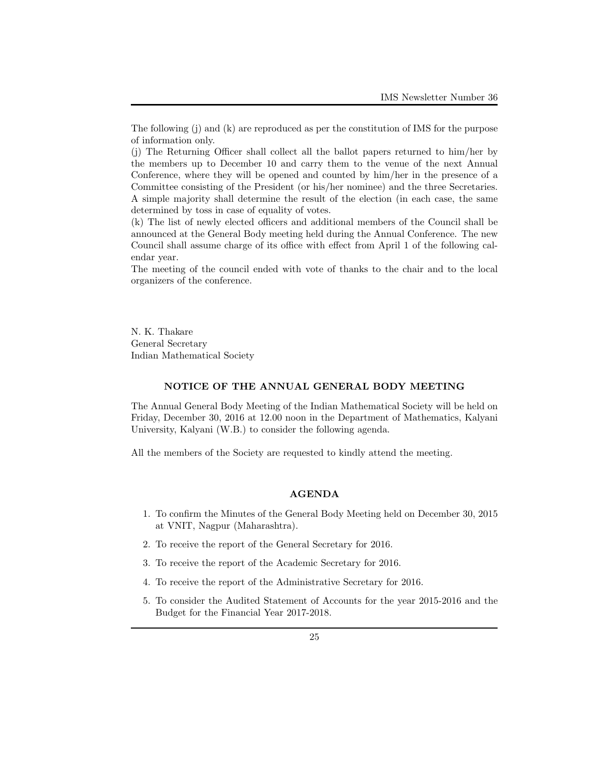(j) The Returning Officer shall collect all the ballot papers returned to him/her by the members up to December 10 and carry them to the venue of the next Annual Conference, where they will be opened and counted by him/her in the presence of a Committee consisting of the President (or his/her nominee) and the three Secretaries. A simple majority shall determine the result of the election (in each case, the same determined by toss in case of equality of votes.

(k) The list of newly elected officers and additional members of the Council shall be announced at the General Body meeting held during the Annual Conference. The new Council shall assume charge of its office with effect from April 1 of the following calendar year.

The meeting of the council ended with vote of thanks to the chair and to the local organizers of the conference.

N. K. Thakare General Secretary Indian Mathematical Society

### **NOTICE OF THE ANNUAL GENERAL BODY MEETING**

The Annual General Body Meeting of the Indian Mathematical Society will be held on Friday, December 30, 2016 at 12.00 noon in the Department of Mathematics, Kalyani University, Kalyani (W.B.) to consider the following agenda.

All the members of the Society are requested to kindly attend the meeting.

#### **AGENDA**

- 1. To confirm the Minutes of the General Body Meeting held on December 30, 2015 at VNIT, Nagpur (Maharashtra).
- 2. To receive the report of the General Secretary for 2016.
- 3. To receive the report of the Academic Secretary for 2016.
- 4. To receive the report of the Administrative Secretary for 2016.
- 5. To consider the Audited Statement of Accounts for the year 2015-2016 and the Budget for the Financial Year 2017-2018.

The following (j) and (k) are reproduced as per the constitution of IMS for the purpose of information only.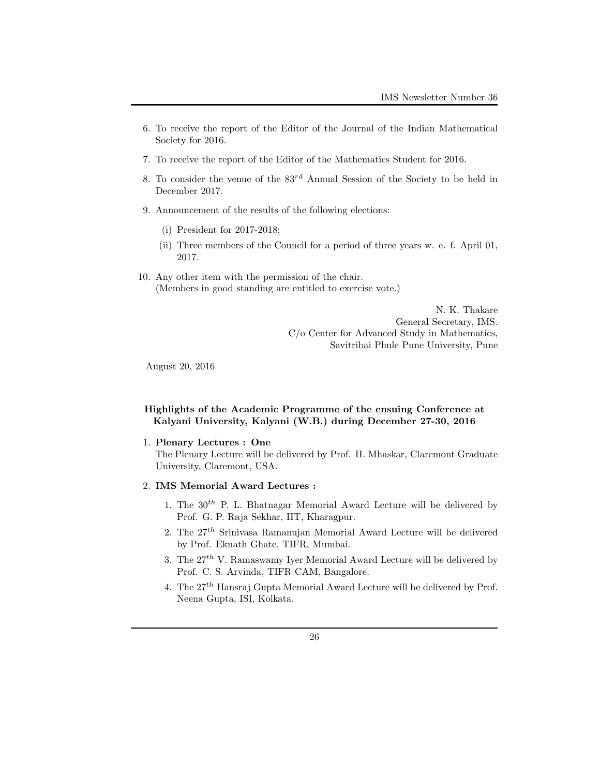- 6. To receive the report of the Editor of the Journal of the Indian Mathematical Society for 2016.
- 7. To receive the report of the Editor of the Mathematics Student for 2016.
- 8. To consider the venue of the 83*rd* Annual Session of the Society to be held in December 2017.
- 9. Announcement of the results of the following elections:
	- (i) President for 2017-2018;
	- (ii) Three members of the Council for a period of three years w. e. f. April 01, 2017.
- 10. Any other item with the permission of the chair. (Members in good standing are entitled to exercise vote.)

N. K. Thakare General Secretary, IMS. C/o Center for Advanced Study in Mathematics, Savitribai Phule Pune University, Pune

August 20, 2016

## **Highlights of the Academic Programme of the ensuing Conference at Kalyani University, Kalyani (W.B.) during December 27-30, 2016**

1. **Plenary Lectures : One**

The Plenary Lecture will be delivered by Prof. H. Mhaskar, Claremont Graduate University, Claremont, USA.

### 2. **IMS Memorial Award Lectures :**

- 1. The 30*th* P. L. Bhatnagar Memorial Award Lecture will be delivered by Prof. G. P. Raja Sekhar, IIT, Kharagpur.
- 2. The 27*th* Srinivasa Ramanujan Memorial Award Lecture will be delivered by Prof. Eknath Ghate, TIFR, Mumbai.
- 3. The  $27<sup>th</sup>$  V. Ramaswamy Iyer Memorial Award Lecture will be delivered by Prof. C. S. Arvinda, TIFR CAM, Bangalore.
- 4. The 27*th* Hansraj Gupta Memorial Award Lecture will be delivered by Prof. Neena Gupta, ISI, Kolkata.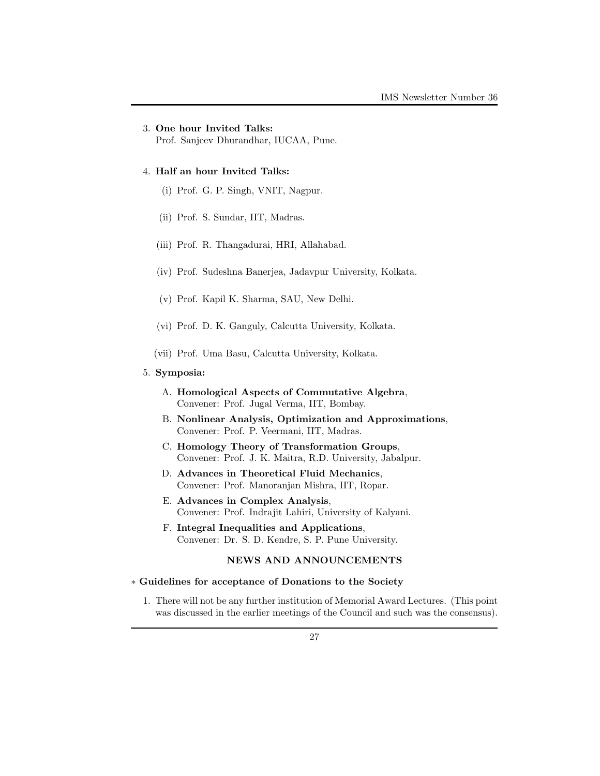## 3. **One hour Invited Talks:**

Prof. Sanjeev Dhurandhar, IUCAA, Pune.

### 4. **Half an hour Invited Talks:**

- (i) Prof. G. P. Singh, VNIT, Nagpur.
- (ii) Prof. S. Sundar, IIT, Madras.
- (iii) Prof. R. Thangadurai, HRI, Allahabad.
- (iv) Prof. Sudeshna Banerjea, Jadavpur University, Kolkata.
- (v) Prof. Kapil K. Sharma, SAU, New Delhi.
- (vi) Prof. D. K. Ganguly, Calcutta University, Kolkata.
- (vii) Prof. Uma Basu, Calcutta University, Kolkata.

## 5. **Symposia:**

- A. **Homological Aspects of Commutative Algebra**, Convener: Prof. Jugal Verma, IIT, Bombay.
- B. **Nonlinear Analysis, Optimization and Approximations**, Convener: Prof. P. Veermani, IIT, Madras.
- C. **Homology Theory of Transformation Groups**, Convener: Prof. J. K. Maitra, R.D. University, Jabalpur.
- D. **Advances in Theoretical Fluid Mechanics**, Convener: Prof. Manoranjan Mishra, IIT, Ropar.
- E. **Advances in Complex Analysis**, Convener: Prof. Indrajit Lahiri, University of Kalyani.
- F. **Integral Inequalities and Applications**, Convener: Dr. S. D. Kendre, S. P. Pune University.

## **NEWS AND ANNOUNCEMENTS**

### *∗* **Guidelines for acceptance of Donations to the Society**

1. There will not be any further institution of Memorial Award Lectures. (This point was discussed in the earlier meetings of the Council and such was the consensus).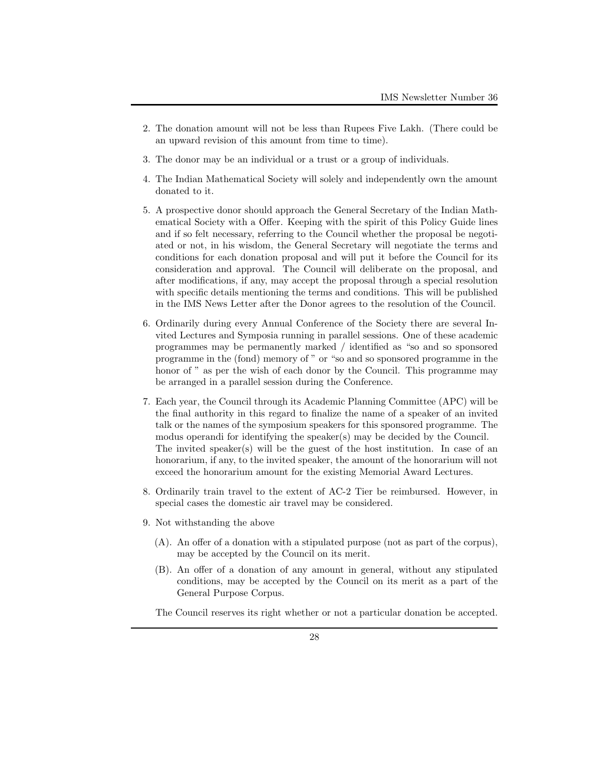- 2. The donation amount will not be less than Rupees Five Lakh. (There could be an upward revision of this amount from time to time).
- 3. The donor may be an individual or a trust or a group of individuals.
- 4. The Indian Mathematical Society will solely and independently own the amount donated to it.
- 5. A prospective donor should approach the General Secretary of the Indian Mathematical Society with a Offer. Keeping with the spirit of this Policy Guide lines and if so felt necessary, referring to the Council whether the proposal be negotiated or not, in his wisdom, the General Secretary will negotiate the terms and conditions for each donation proposal and will put it before the Council for its consideration and approval. The Council will deliberate on the proposal, and after modifications, if any, may accept the proposal through a special resolution with specific details mentioning the terms and conditions. This will be published in the IMS News Letter after the Donor agrees to the resolution of the Council.
- 6. Ordinarily during every Annual Conference of the Society there are several Invited Lectures and Symposia running in parallel sessions. One of these academic programmes may be permanently marked / identified as "so and so sponsored programme in the (fond) memory of " or "so and so sponsored programme in the honor of " as per the wish of each donor by the Council. This programme may be arranged in a parallel session during the Conference.
- 7. Each year, the Council through its Academic Planning Committee (APC) will be the final authority in this regard to finalize the name of a speaker of an invited talk or the names of the symposium speakers for this sponsored programme. The modus operandi for identifying the speaker(s) may be decided by the Council. The invited speaker(s) will be the guest of the host institution. In case of an honorarium, if any, to the invited speaker, the amount of the honorarium will not exceed the honorarium amount for the existing Memorial Award Lectures.
- 8. Ordinarily train travel to the extent of AC-2 Tier be reimbursed. However, in special cases the domestic air travel may be considered.
- 9. Not withstanding the above
	- (A). An offer of a donation with a stipulated purpose (not as part of the corpus), may be accepted by the Council on its merit.
	- (B). An offer of a donation of any amount in general, without any stipulated conditions, may be accepted by the Council on its merit as a part of the General Purpose Corpus.

The Council reserves its right whether or not a particular donation be accepted.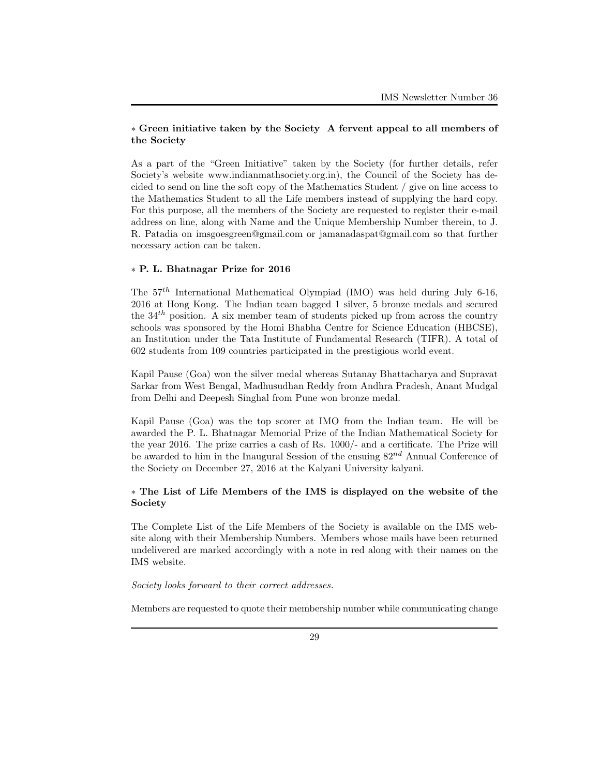## *∗* **Green initiative taken by the Society A fervent appeal to all members of the Society**

As a part of the "Green Initiative" taken by the Society (for further details, refer Society's website www.indianmathsociety.org.in), the Council of the Society has decided to send on line the soft copy of the Mathematics Student / give on line access to the Mathematics Student to all the Life members instead of supplying the hard copy. For this purpose, all the members of the Society are requested to register their e-mail address on line, along with Name and the Unique Membership Number therein, to J. R. Patadia on imsgoesgreen@gmail.com or jamanadaspat@gmail.com so that further necessary action can be taken.

### *∗* **P. L. Bhatnagar Prize for 2016**

The 57*th* International Mathematical Olympiad (IMO) was held during July 6-16, 2016 at Hong Kong. The Indian team bagged 1 silver, 5 bronze medals and secured the 34*th* position. A six member team of students picked up from across the country schools was sponsored by the Homi Bhabha Centre for Science Education (HBCSE), an Institution under the Tata Institute of Fundamental Research (TIFR). A total of 602 students from 109 countries participated in the prestigious world event.

Kapil Pause (Goa) won the silver medal whereas Sutanay Bhattacharya and Supravat Sarkar from West Bengal, Madhusudhan Reddy from Andhra Pradesh, Anant Mudgal from Delhi and Deepesh Singhal from Pune won bronze medal.

Kapil Pause (Goa) was the top scorer at IMO from the Indian team. He will be awarded the P. L. Bhatnagar Memorial Prize of the Indian Mathematical Society for the year 2016. The prize carries a cash of Rs. 1000/- and a certificate. The Prize will be awarded to him in the Inaugural Session of the ensuing 82*nd* Annual Conference of the Society on December 27, 2016 at the Kalyani University kalyani.

## *∗* **The List of Life Members of the IMS is displayed on the website of the Society**

The Complete List of the Life Members of the Society is available on the IMS website along with their Membership Numbers. Members whose mails have been returned undelivered are marked accordingly with a note in red along with their names on the IMS website.

*Society looks forward to their correct addresses.*

Members are requested to quote their membership number while communicating change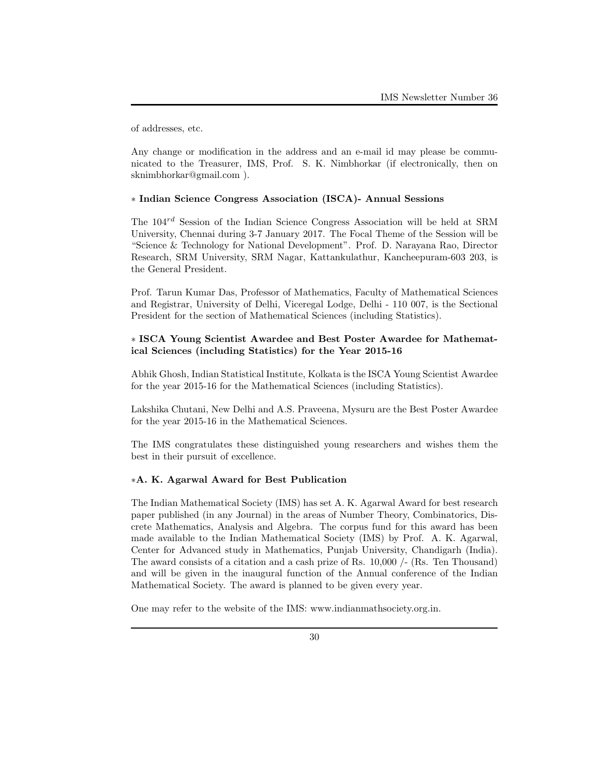of addresses, etc.

Any change or modification in the address and an e-mail id may please be communicated to the Treasurer, IMS, Prof. S. K. Nimbhorkar (if electronically, then on sknimbhorkar@gmail.com ).

### *∗* **Indian Science Congress Association (ISCA)- Annual Sessions**

The 104*rd* Session of the Indian Science Congress Association will be held at SRM University, Chennai during 3-7 January 2017. The Focal Theme of the Session will be "Science & Technology for National Development". Prof. D. Narayana Rao, Director Research, SRM University, SRM Nagar, Kattankulathur, Kancheepuram-603 203, is the General President.

Prof. Tarun Kumar Das, Professor of Mathematics, Faculty of Mathematical Sciences and Registrar, University of Delhi, Viceregal Lodge, Delhi - 110 007, is the Sectional President for the section of Mathematical Sciences (including Statistics).

## *∗* **ISCA Young Scientist Awardee and Best Poster Awardee for Mathematical Sciences (including Statistics) for the Year 2015-16**

Abhik Ghosh, Indian Statistical Institute, Kolkata is the ISCA Young Scientist Awardee for the year 2015-16 for the Mathematical Sciences (including Statistics).

Lakshika Chutani, New Delhi and A.S. Praveena, Mysuru are the Best Poster Awardee for the year 2015-16 in the Mathematical Sciences.

The IMS congratulates these distinguished young researchers and wishes them the best in their pursuit of excellence.

## *∗***A. K. Agarwal Award for Best Publication**

The Indian Mathematical Society (IMS) has set A. K. Agarwal Award for best research paper published (in any Journal) in the areas of Number Theory, Combinatorics, Discrete Mathematics, Analysis and Algebra. The corpus fund for this award has been made available to the Indian Mathematical Society (IMS) by Prof. A. K. Agarwal, Center for Advanced study in Mathematics, Punjab University, Chandigarh (India). The award consists of a citation and a cash prize of Rs. 10,000 /- (Rs. Ten Thousand) and will be given in the inaugural function of the Annual conference of the Indian Mathematical Society. The award is planned to be given every year.

One may refer to the website of the IMS: www.indianmathsociety.org.in.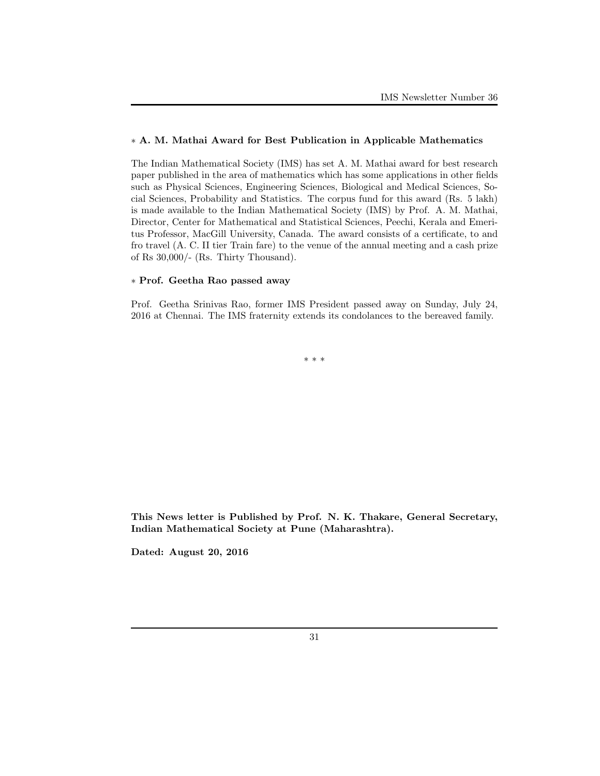## *∗* **A. M. Mathai Award for Best Publication in Applicable Mathematics**

The Indian Mathematical Society (IMS) has set A. M. Mathai award for best research paper published in the area of mathematics which has some applications in other fields such as Physical Sciences, Engineering Sciences, Biological and Medical Sciences, Social Sciences, Probability and Statistics. The corpus fund for this award (Rs. 5 lakh) is made available to the Indian Mathematical Society (IMS) by Prof. A. M. Mathai, Director, Center for Mathematical and Statistical Sciences, Peechi, Kerala and Emeritus Professor, MacGill University, Canada. The award consists of a certificate, to and fro travel (A. C. II tier Train fare) to the venue of the annual meeting and a cash prize of Rs 30,000/- (Rs. Thirty Thousand).

### *∗* **Prof. Geetha Rao passed away**

Prof. Geetha Srinivas Rao, former IMS President passed away on Sunday, July 24, 2016 at Chennai. The IMS fraternity extends its condolances to the bereaved family.

*∗ ∗ ∗*

**This News letter is Published by Prof. N. K. Thakare, General Secretary, Indian Mathematical Society at Pune (Maharashtra).**

**Dated: August 20, 2016**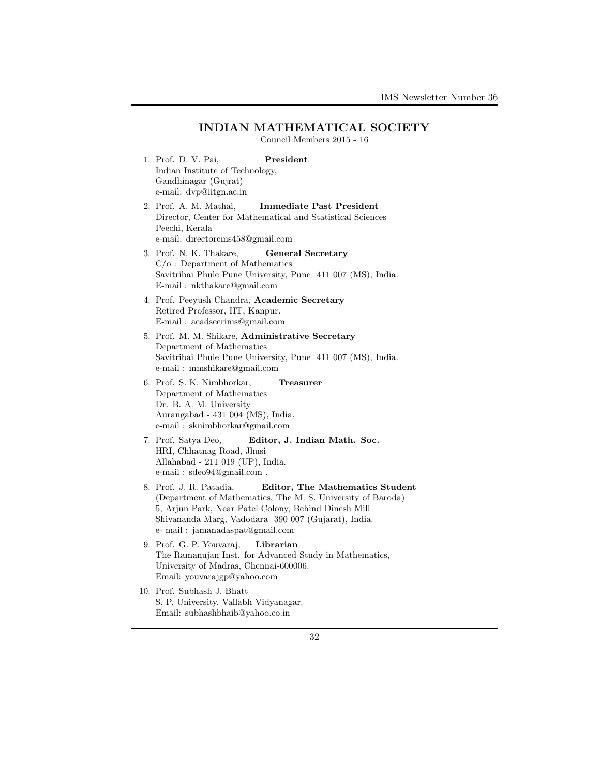## **INDIAN MATHEMATICAL SOCIETY**

Council Members 2015 - 16

- 1. Prof. D. V. Pai, **President** Indian Institute of Technology, Gandhinagar (Gujrat) e-mail: dvp@iitgn.ac.in
- 2. Prof. A. M. Mathai, **Immediate Past President** Director, Center for Mathematical and Statistical Sciences Peechi, Kerala e-mail: directorcms458@gmail.com
- 3. Prof. N. K. Thakare, **General Secretary** C/o : Department of Mathematics Savitribai Phule Pune University, Pune 411 007 (MS), India. E-mail : nkthakare@gmail.com
- 4. Prof. Peeyush Chandra, **Academic Secretary** Retired Professor, IIT, Kanpur. E-mail : acadsecrims@gmail.com
- 5. Prof. M. M. Shikare, **Administrative Secretary** Department of Mathematics Savitribai Phule Pune University, Pune 411 007 (MS), India. e-mail : mmshikare@gmail.com
- 6. Prof. S. K. Nimbhorkar, **Treasurer** Department of Mathematics Dr. B. A. M. University Aurangabad - 431 004 (MS), India. e-mail : sknimbhorkar@gmail.com
- 7. Prof. Satya Deo, **Editor, J. Indian Math. Soc.** HRI, Chhatnag Road, Jhusi Allahabad - 211 019 (UP), India. e-mail : sdeo94@gmail.com .
- 8. Prof. J. R. Patadia, **Editor, The Mathematics Student** (Department of Mathematics, The M. S. University of Baroda) 5, Arjun Park, Near Patel Colony, Behind Dinesh Mill Shivananda Marg, Vadodara 390 007 (Gujarat), India. e- mail : jamanadaspat@gmail.com
- 9. Prof. G. P. Youvaraj, **Librarian** The Ramanujan Inst. for Advanced Study in Mathematics, University of Madras, Chennai-600006. Email: youvarajgp@yahoo.com
- 10. Prof. Subhash J. Bhatt S. P. University, Vallabh Vidyanagar. Email: subhashbhaib@yahoo.co.in